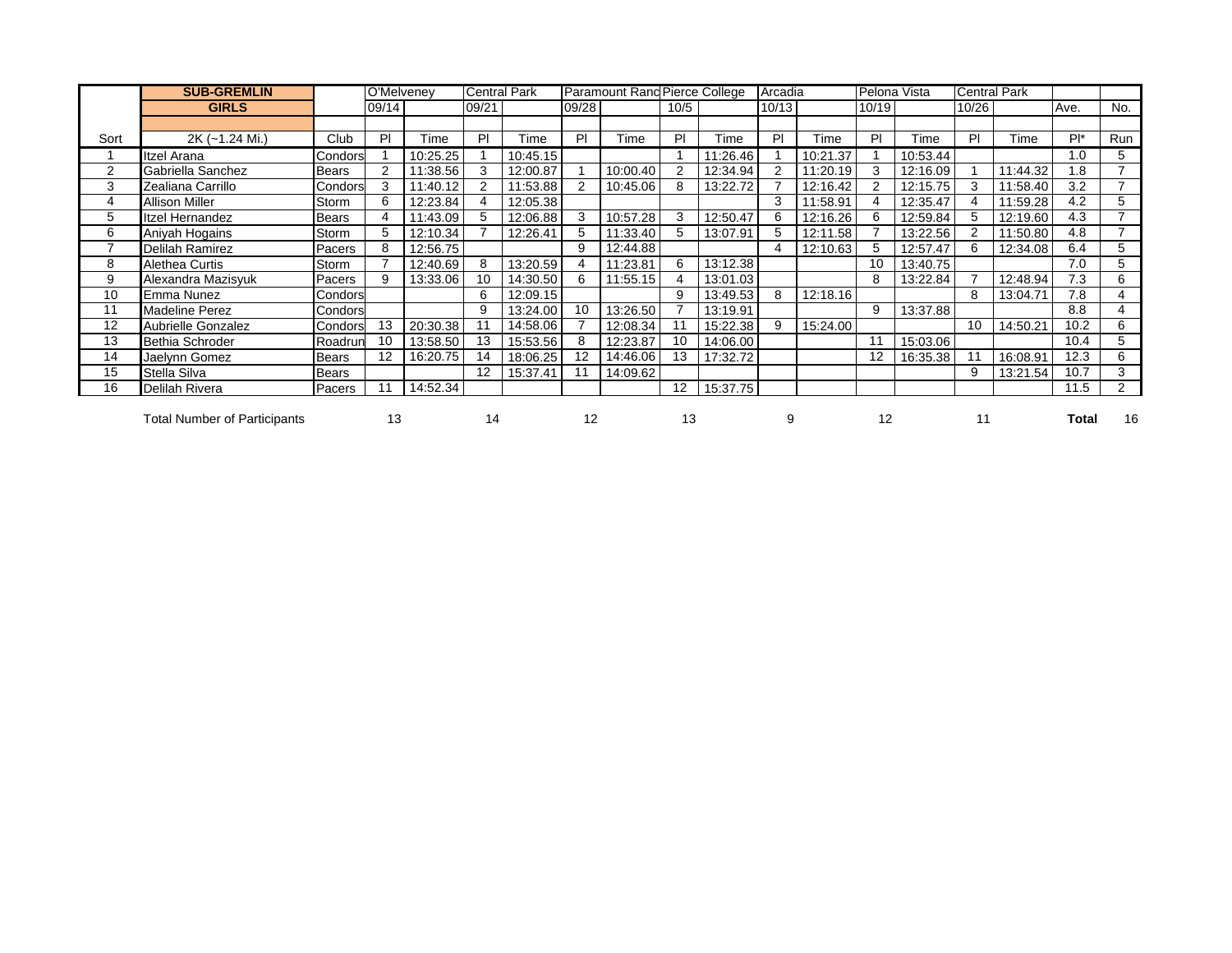|      | <b>SUB-GREMLIN</b>                  |              | O'Melveney     |          |                | <b>Central Park</b> |       | Paramount Rand Pierce College |                   |          | Arcadia |          |       | Pelona Vista |       | <b>Central Park</b> |        |                          |
|------|-------------------------------------|--------------|----------------|----------|----------------|---------------------|-------|-------------------------------|-------------------|----------|---------|----------|-------|--------------|-------|---------------------|--------|--------------------------|
|      | <b>GIRLS</b>                        |              | 09/14          |          | 09/21          |                     | 09/28 |                               | 10/5              |          | 10/13   |          | 10/19 |              | 10/26 |                     | Ave.   | No.                      |
|      |                                     |              |                |          |                |                     |       |                               |                   |          |         |          |       |              |       |                     |        |                          |
| Sort | 2K (~1.24 Mi.)                      | Club         | PI             | Time     | PI             | Time                | PI    | Time                          | PI                | Time     | PI      | Time     | PI    | Time         | PI    | Time                | $Pl^*$ | Run                      |
|      | Itzel Arana                         | Condors      |                | 10:25.25 |                | 10:45.15            |       |                               |                   | 11:26.46 |         | 10:21.37 |       | 10:53.44     |       |                     | 1.0    | 5                        |
| 2    | Gabriella Sanchez                   | <b>Bears</b> | $\mathfrak{p}$ | 11:38.56 | 3              | 12:00.87            |       | 10:00.40                      | $\overline{2}$    | 12:34.94 |         | 11:20.19 |       | 12:16.09     |       | 11:44.32            | 1.8    | $\overline{\phantom{a}}$ |
| 3    | Zealiana Carrillo                   | Condors      | 3              | 11:40.12 | $\overline{2}$ | 11:53.88            | 2     | 10:45.06                      | 8                 | 13:22.72 |         | 12:16.42 |       | 12:15.75     |       | 11:58.40            | 3.2    | $\overline{7}$           |
| 4    | <b>Allison Miller</b>               | Storm        | 6              | 12:23.84 |                | 12:05.38            |       |                               |                   |          | 3       | 11:58.91 |       | 12:35.47     |       | 11:59.28            | 4.2    | 5                        |
| 5    | <b>Itzel Hernandez</b>              | <b>Bears</b> | 4              | 11:43.09 | 5              | 12:06.88            | 3     | 10:57.28                      | 3                 | 12:50.47 | 6       | 12:16.26 | 6     | 12:59.84     |       | 12:19.60            | 4.3    | $\overline{7}$           |
| 6    | Aniyah Hogains                      | Storm        | 5              | 12:10.34 |                | 12:26.41            | 5     | 11:33.40                      | 5                 | 13:07.91 | 5       | 12:11.58 |       | 13:22.56     |       | 11:50.80            | 4.8    | $\overline{7}$           |
|      | Delilah Ramirez                     | Pacers       | 8              | 12:56.75 |                |                     | 9     | 12:44.88                      |                   |          | 4       | 12:10.63 | 5     | 12:57.47     |       | 12:34.08            | 6.4    | 5                        |
| 8    | Alethea Curtis                      | Storm        |                | 12:40.69 | 8              | 13:20.59            | 4     | 11:23.81                      | 6                 | 13:12.38 |         |          | 10    | 13:40.75     |       |                     | 7.0    | 5                        |
| 9    | Alexandra Mazisyuk                  | Pacers       | 9              | 13:33.06 | 10             | 14:30.50            | 6     | 11:55.15                      | 4                 | 13:01.03 |         |          | 8     | 13:22.84     |       | 12:48.94            | 7.3    | 6                        |
| 10   | Emma Nunez                          | Condors      |                |          | 6              | 12:09.15            |       |                               | 9                 | 13:49.53 | 8       | 12:18.16 |       |              | 8     | 13:04.71            | 7.8    | 4                        |
| 11   | <b>Madeline Perez</b>               | Condors      |                |          | 9              | 13:24.00            | 10    | 13:26.50                      |                   | 13:19.91 |         |          | 9     | 13:37.88     |       |                     | 8.8    | 4                        |
| 12   | <b>Aubrielle Gonzalez</b>           | Condors      | 13             | 20:30.38 | 11             | 14:58.06            |       | 12:08.34                      | 11                | 15:22.38 | 9       | 15:24.00 |       |              | 10    | 14:50.21            | 10.2   | 6                        |
| 13   | Bethia Schroder                     | Roadrun      | 10             | 13:58.50 | 13             | 15:53.56            | 8     | 12:23.87                      | 10                | 14:06.00 |         |          | 11    | 15:03.06     |       |                     | 10.4   | 5                        |
| 14   | Jaelynn Gomez                       | <b>Bears</b> | 12             | 16:20.75 | 14             | 18:06.25            | 12    | 14:46.06                      | 13                | 17:32.72 |         |          | 12    | 16:35.38     |       | 16:08.91            | 12.3   | 6                        |
| 15   | Stella Silva                        | Bears        |                |          | 12             | 15:37.41            | 11    | 14:09.62                      |                   |          |         |          |       |              | 9     | 13:21.54            | 10.7   | 3                        |
| 16   | Delilah Rivera                      | Pacers       | 11             | 14:52.34 |                |                     |       |                               | $12 \overline{ }$ | 15:37.75 |         |          |       |              |       |                     | 11.5   | $\overline{2}$           |
|      | <b>Total Number of Participants</b> |              | 13             |          | 14             |                     | 12    |                               | 13                |          | 9       |          | 12    |              | 11    |                     | Total  | 16                       |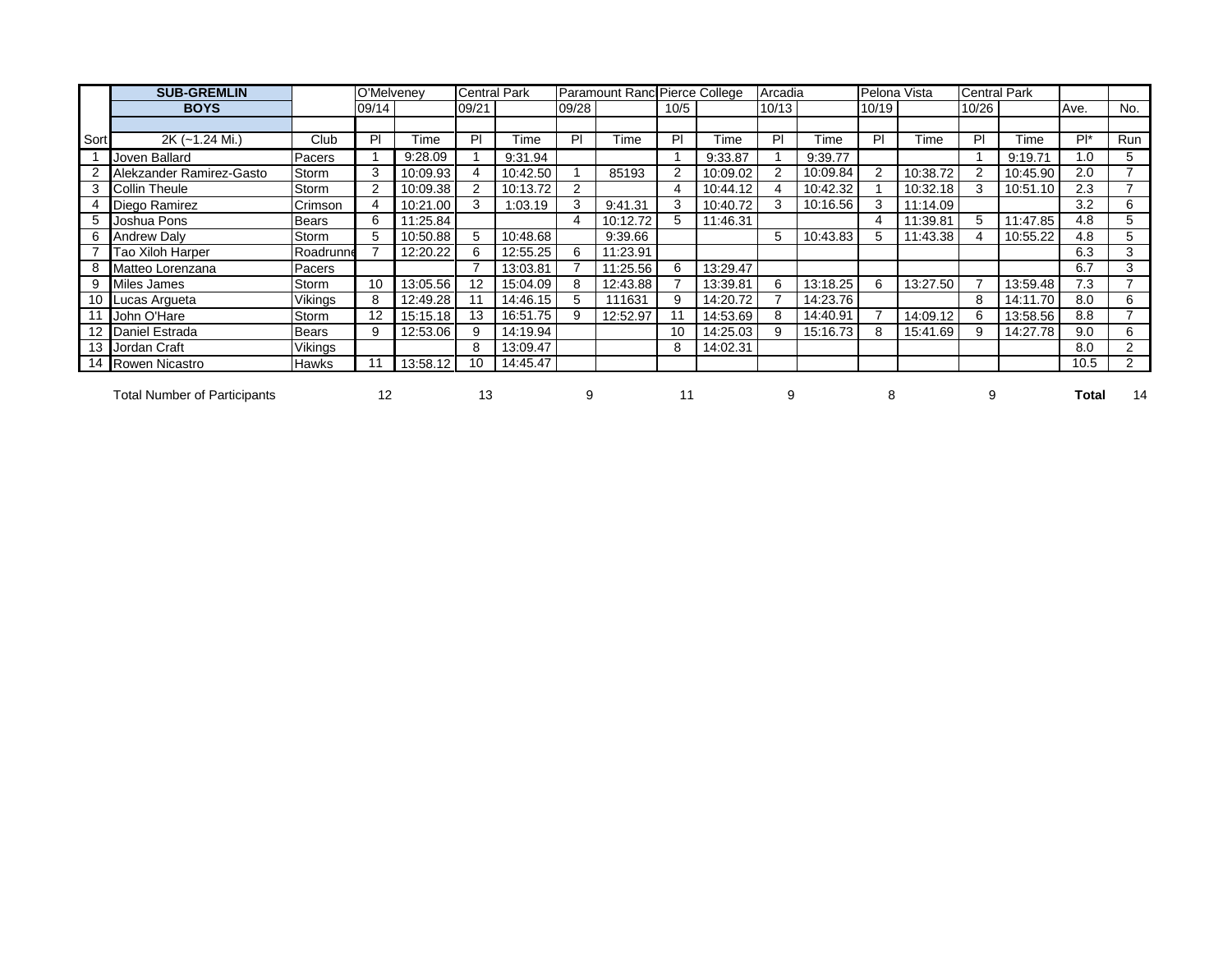|      | <b>SUB-GREMLIN</b>                  |                | O'Melveney |          | <b>Central Park</b> |          |       | Paramount Ranc Pierce College |      |          | Arcadia |          | Pelona Vista |          | <b>Central Park</b> |              |        |                |
|------|-------------------------------------|----------------|------------|----------|---------------------|----------|-------|-------------------------------|------|----------|---------|----------|--------------|----------|---------------------|--------------|--------|----------------|
|      | <b>BOYS</b>                         |                | 09/14      |          | 09/21               |          | 09/28 |                               | 10/5 |          | 10/13   |          | 10/19        |          | 10/26               |              | Ave.   | No.            |
|      |                                     |                |            |          |                     |          |       |                               |      |          |         |          |              |          |                     |              |        |                |
| Sort | 2K (~1.24 Mi.)                      | Club           | PI         | Time     | P                   | Time     | PI    | Time                          | PI   | 'ime     | ΡI      | Time     | PI           | Гіmе     | PI                  | ⊺ime         | $Pl^*$ | Run            |
|      | Joven Ballard                       | Pacers         |            | 9:28.09  |                     | 9:31.94  |       |                               |      | 9:33.87  |         | 9:39.77  |              |          |                     | 9:19.71      | 1.0    | 5              |
|      | Alekzander Ramirez-Gasto            | Storm          | 3          | 10:09.93 |                     | 10:42.50 |       | 85193                         |      | 10:09.02 |         | 10:09.84 |              | 10:38.72 |                     | 10:45.90     | 2.0    | ⇁              |
|      | Collin Theule                       | Storm          |            | 10:09.38 |                     | 10:13.72 |       |                               |      | 10:44.12 |         | 10:42.32 |              | 10:32.18 |                     | 10:51.10     | 2.3    |                |
|      | Diego Ramirez                       | Crimson        |            | 10:21.00 |                     | 1:03.19  |       | 9:41.31                       |      | 10:40.72 |         | 10:16.56 | 3            | 11:14.09 |                     |              | 3.2    | 6              |
| 5.   | Joshua Pons                         | <b>Bears</b>   | 6          | 11:25.84 |                     |          |       | 10:12.72                      | 5    | 11:46.31 |         |          |              | 11:39.81 | 5                   | 11:47.85     | 4.8    | 5              |
| 6    | <b>Andrew Daly</b>                  | Storm          | 5          | 10:50.88 | 5                   | 10:48.68 |       | 9:39.66                       |      |          | 5       | 10:43.83 | 5.           | 11:43.38 |                     | 10:55.22     | 4.8    | 5              |
|      | Tao Xiloh Harper                    | Roadrunne      |            | 12:20.22 | 6                   | 12:55.25 | 6     | 11:23.91                      |      |          |         |          |              |          |                     |              | 6.3    | 3              |
|      | Matteo Lorenzana                    | Pacers         |            |          |                     | 13:03.81 |       | 11:25.56                      | 6    | 13:29.47 |         |          |              |          |                     |              | 6.7    | 3              |
|      | Miles James                         | Storm          | 10         | 13:05.56 | 12                  | 15:04.09 |       | 12:43.88                      |      | 13:39.81 | 6       | 13:18.25 | 6            | 13:27.50 |                     | 13:59.48     | 7.3    |                |
|      | 10 Lucas Argueta                    | <b>Vikings</b> | 8          | 12:49.28 |                     | 14:46.15 | 5     | 111631                        |      | 14:20.72 |         | 14:23.76 |              |          | 8                   | .70<br>14:11 | 8.0    | 6              |
|      | John O'Hare                         | Storm          | 12         | 15:15.18 | 13                  | 16:51.75 |       | 12:52.97                      |      | 14:53.69 |         | 14:40.91 |              | 14:09.12 |                     | 13:58.56     | 8.8    | $\overline{ }$ |
|      | Daniel Estrada                      | <b>Bears</b>   | 9          | 12:53.06 | 9                   | 14:19.94 |       |                               | 10   | 14:25.03 |         | 15:16.73 | 8            | 15:41.69 |                     | 14:27.78     | 9.0    | 6              |
|      | Jordan Craft                        | Vikings        |            |          | 8                   | 13:09.47 |       |                               | 8    | 14:02.31 |         |          |              |          |                     |              | 8.0    | 2              |
|      | 14 Rowen Nicastro                   | <b>Hawks</b>   |            | 13:58.12 | 10                  | 14:45.47 |       |                               |      |          |         |          |              |          |                     |              | 10.5   | $\overline{2}$ |
|      | <b>Total Number of Participants</b> |                | 12         |          | 13                  |          |       |                               | 11   |          |         |          | 8            |          | 9                   |              | Total  | 14             |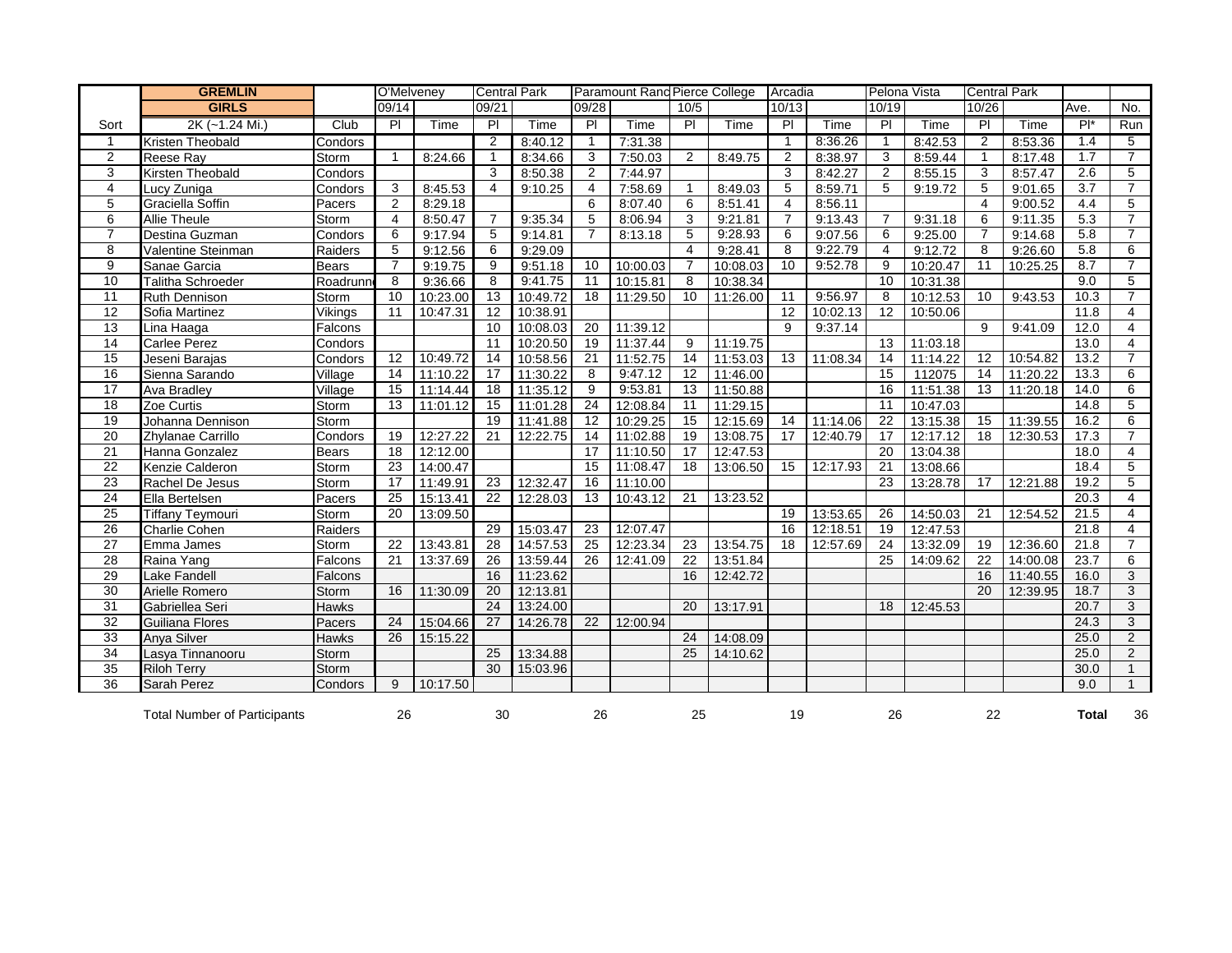|                 | <b>GREMLIN</b>                      |              | O'Melveney     |          | <b>Central Park</b> |          |                         | Paramount Rand Pierce College |                 |          | Arcadia        |          | Pelona Vista   |          | <b>Central Park</b> |          |        |                 |
|-----------------|-------------------------------------|--------------|----------------|----------|---------------------|----------|-------------------------|-------------------------------|-----------------|----------|----------------|----------|----------------|----------|---------------------|----------|--------|-----------------|
|                 | <b>GIRLS</b>                        |              | 09/14          |          | 09/21               |          | 09/28                   |                               | 10/5            |          | 10/13          |          | 10/19          |          | 10/26               |          | Ave.   | No.             |
| Sort            | 2K (~1.24 Mi.)                      | Club         | $\overline{P}$ | Time     | PI                  | Time     | PI                      | Time                          | PI              | Time     | PI             | Time     | PI             | Time     | PI                  | Time     | $Pl^*$ | Run             |
| $\mathbf{1}$    | <b>Kristen Theobald</b>             | Condors      |                |          | $\overline{2}$      | 8:40.12  | $\overline{1}$          | 7:31.38                       |                 |          | $\mathbf{1}$   | 8:36.26  | $\mathbf{1}$   | 8:42.53  | 2                   | 8:53.36  | 1.4    | 5               |
| 2               | <b>Reese Ray</b>                    | Storm        | $\mathbf{1}$   | 8:24.66  | $\mathbf{1}$        | 8:34.66  | 3                       | 7:50.03                       | 2               | 8:49.75  | 2              | 8:38.97  | 3              | 8:59.44  | $\mathbf{1}$        | 8:17.48  | 1.7    | $\overline{7}$  |
| 3               | Kirsten Theobald                    | Condors      |                |          | 3                   | 8:50.38  | $\overline{\mathbf{c}}$ | 7:44.97                       |                 |          | 3              | 8:42.27  | $\overline{2}$ | 8:55.15  | 3                   | 8:57.47  | 2.6    | 5               |
| 4               | Lucy Zuniga                         | Condors      | 3              | 8:45.53  | 4                   | 9:10.25  | 4                       | 7:58.69                       | -1              | 8:49.03  | 5              | 8:59.71  | 5              | 9:19.72  | 5                   | 9:01.65  | 3.7    | $\overline{7}$  |
| 5               | Graciella Soffin                    | Pacers       | $\overline{2}$ | 8:29.18  |                     |          | 6                       | 8:07.40                       | 6               | 8:51.41  | $\overline{4}$ | 8:56.11  |                |          | 4                   | 9:00.52  | 4.4    | 5               |
| 6               | Allie Theule                        | Storm        | $\overline{4}$ | 8:50.47  |                     | 9:35.34  | 5                       | 8:06.94                       | 3               | 9:21.81  | 7              | 9:13.43  | $\overline{7}$ | 9:31.18  | 6                   | 9:11.35  | 5.3    | $\overline{7}$  |
| $\overline{7}$  | Destina Guzman                      | Condors      | 6              | 9:17.94  | 5                   | 9:14.81  | $\overline{7}$          | 8:13.18                       | 5               | 9:28.93  | 6              | 9:07.56  | 6              | 9:25.00  | $\overline{7}$      | 9:14.68  | 5.8    | $\overline{7}$  |
| 8               | Valentine Steinman                  | Raiders      | 5              | 9:12.56  | 6                   | 9:29.09  |                         |                               | $\overline{4}$  | 9:28.41  | 8              | 9:22.79  | $\overline{4}$ | 9:12.72  | 8                   | 9:26.60  | 5.8    | 6               |
| 9               | Sanae Garcia                        | Bears        | $\overline{7}$ | 9:19.75  | 9                   | 9:51.18  | 10                      | 10:00.03                      | -7              | 10:08.03 | 10             | 9:52.78  | 9              | 10:20.47 | 11                  | 10:25.25 | 8.7    | $\overline{7}$  |
| 10              | Talitha Schroeder                   | Roadrunn     | 8              | 9:36.66  | 8                   | 9:41.75  | 11                      | 10:15.81                      | 8               | 10:38.34 |                |          | 10             | 10:31.38 |                     |          | 9.0    | $5\phantom{.0}$ |
| 11              | Ruth Dennison                       | Storm        | 10             | 10:23.00 | 13                  | 10:49.72 | 18                      | 11:29.50                      | 10              | 11:26.00 | 11             | 9:56.97  | 8              | 10:12.53 | 10                  | 9:43.53  | 10.3   | $\overline{7}$  |
| 12              | Sofia Martinez                      | Vikings      | 11             | 10:47.31 | 12                  | 10:38.91 |                         |                               |                 |          | 12             | 10:02.13 | 12             | 10:50.06 |                     |          | 11.8   | 4               |
| $\overline{13}$ | Lina Haaga                          | Falcons      |                |          | $\overline{10}$     | 10:08.03 | 20                      | 11:39.12                      |                 |          | 9              | 9:37.14  |                |          | 9                   | 9:41.09  | 12.0   | $\overline{4}$  |
| 14              | Carlee Perez                        | Condors      |                |          | 11                  | 10:20.50 | 19                      | 11:37.44                      | 9               | 11:19.75 |                |          | 13             | 11:03.18 |                     |          | 13.0   | $\overline{4}$  |
| 15              | Jeseni Barajas                      | Condors      | 12             | 10:49.72 | 14                  | 10:58.56 | 21                      | 11:52.75                      | 14              | 11:53.03 | 13             | 11:08.34 | 14             | 11:14.22 | 12                  | 10:54.82 | 13.2   | $\overline{7}$  |
| 16              | Sienna Sarando                      | Village      | 14             | 11:10.22 | 17                  | 11:30.22 | 8                       | 9:47.12                       | 12              | 11:46.00 |                |          | 15             | 112075   | 14                  | 11:20.22 | 13.3   | 6               |
| 17              | <b>Ava Bradley</b>                  | Village      | 15             | 11:14.44 | 18                  | 11:35.12 | 9                       | 9:53.81                       | 13              | 11:50.88 |                |          | 16             | 11:51.38 | 13                  | 11:20.18 | 14.0   | 6               |
| 18              | Zoe Curtis                          | Storm        | 13             | 11:01.12 | 15                  | 11:01.28 | 24                      | 12:08.84                      | 11              | 11:29.15 |                |          | 11             | 10:47.03 |                     |          | 14.8   | 5               |
| 19              | Johanna Dennison                    | Storm        |                |          | 19                  | 11:41.88 | 12                      | 10:29.25                      | 15              | 12:15.69 | 14             | 11:14.06 | 22             | 13:15.38 | 15                  | 11:39.55 | 16.2   | 6               |
| $\overline{20}$ | Zhylanae Carrillo                   | Condors      | 19             | 12:27.22 | 21                  | 12:22.75 | 14                      | 11:02.88                      | 19              | 13:08.75 | 17             | 12:40.79 | 17             | 12:17.12 | 18                  | 12:30.53 | 17.3   | $\overline{7}$  |
| 21              | Hanna Gonzalez                      | <b>Bears</b> | 18             | 12:12.00 |                     |          | 17                      | 11:10.50                      | 17              | 12:47.53 |                |          | 20             | 13:04.38 |                     |          | 18.0   | 4               |
| 22              | Kenzie Calderon                     | Storm        | 23             | 14:00.47 |                     |          | 15                      | 11:08.47                      | 18              | 13:06.50 | 15             | 12:17.93 | 21             | 13:08.66 |                     |          | 18.4   | 5               |
| 23              | Rachel De Jesus                     | Storm        | 17             | 11:49.91 | 23                  | 12:32.47 | 16                      | 11:10.00                      |                 |          |                |          | 23             | 13:28.78 | 17                  | 12:21.88 | 19.2   | 5               |
| 24              | Ella Bertelsen                      | Pacers       | 25             | 15:13.41 | 22                  | 12:28.03 | 13                      | 10:43.12                      | 21              | 13:23.52 |                |          |                |          |                     |          | 20.3   | $\overline{4}$  |
| 25              | Tiffany Teymouri                    | Storm        | 20             | 13:09.50 |                     |          |                         |                               |                 |          | 19             | 13:53.65 | 26             | 14:50.03 | 21                  | 12:54.52 | 21.5   | $\overline{4}$  |
| $\overline{26}$ | <b>Charlie Cohen</b>                | Raiders      |                |          | 29                  | 15:03.47 | 23                      | 12:07.47                      |                 |          | 16             | 12:18.51 | 19             | 12:47.53 |                     |          | 21.8   | 4               |
| 27              | Emma James                          | Storm        | 22             | 13:43.81 | 28                  | 14:57.53 | $\overline{25}$         | 12:23.34                      | $\overline{23}$ | 13:54.75 | 18             | 12:57.69 | 24             | 13:32.09 | 19                  | 12:36.60 | 21.8   | $\overline{7}$  |
| 28              | Raina Yang                          | Falcons      | 21             | 13:37.69 | 26                  | 13:59.44 | 26                      | 12:41.09                      | 22              | 13:51.84 |                |          | 25             | 14:09.62 | 22                  | 14:00.08 | 23.7   | 6               |
| 29              | Lake Fandell                        | Falcons      |                |          | 16                  | 11:23.62 |                         |                               | 16              | 12:42.72 |                |          |                |          | 16                  | 11:40.55 | 16.0   | 3               |
| 30              | Arielle Romero                      | Storm        | 16             | 11:30.09 | 20                  | 12:13.81 |                         |                               |                 |          |                |          |                |          | 20                  | 12:39.95 | 18.7   | 3               |
| $\overline{31}$ | Gabriellea Seri                     | Hawks        |                |          | 24                  | 13:24.00 |                         |                               | 20              | 13:17.91 |                |          | 18             | 12:45.53 |                     |          | 20.7   | 3               |
| 32              | Guiliana Flores                     | Pacers       | 24             | 15:04.66 | 27                  | 14:26.78 | 22                      | 12:00.94                      |                 |          |                |          |                |          |                     |          | 24.3   | 3               |
| 33              | Anya Silver                         | Hawks        | 26             | 15:15.22 |                     |          |                         |                               | 24              | 14:08.09 |                |          |                |          |                     |          | 25.0   | $\overline{2}$  |
| $\overline{34}$ | Lasya Tinnanooru                    | Storm        |                |          | 25                  | 13:34.88 |                         |                               | 25              | 14:10.62 |                |          |                |          |                     |          | 25.0   | 2               |
| $\overline{35}$ | <b>Riloh Terry</b>                  | Storm        |                |          | 30                  | 15:03.96 |                         |                               |                 |          |                |          |                |          |                     |          | 30.0   | $\overline{1}$  |
| $\overline{36}$ | Sarah Perez                         | Condors      | 9              | 10:17.50 |                     |          |                         |                               |                 |          |                |          |                |          |                     |          | 9.0    | $\mathbf{1}$    |
|                 |                                     |              |                |          |                     |          |                         |                               |                 |          |                |          |                |          |                     |          |        |                 |
|                 | <b>Total Number of Participants</b> |              | 26             |          | 30                  |          | 26                      |                               | 25              |          | 19             |          | 26             |          | 22                  |          | Total  | 36              |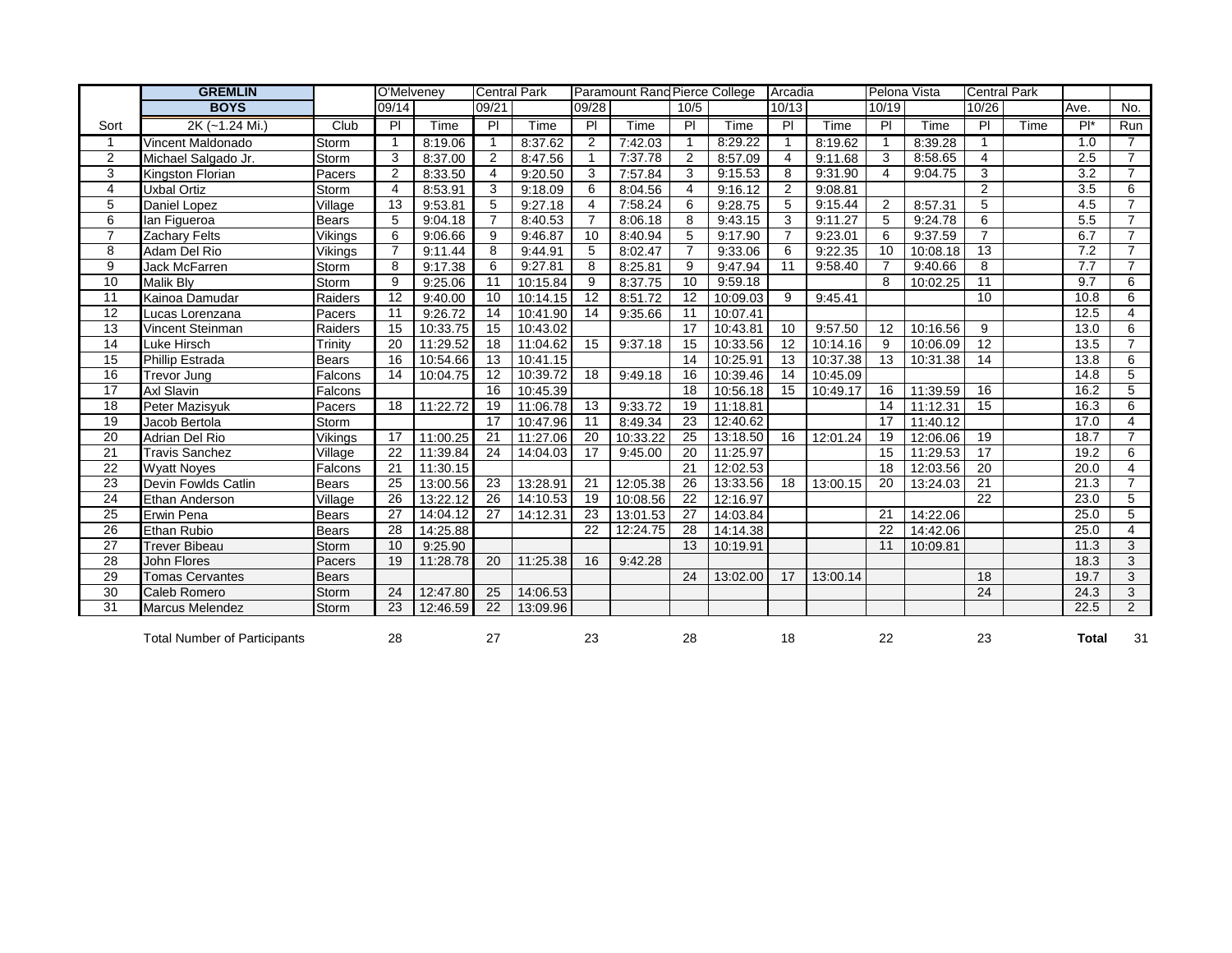|                 | <b>GREMLIN</b>                      |              | O'Melveney      |          | <b>Central Park</b> |          |                | Paramount Rand Pierce College |                 |          | Arcadia        |          | Pelona Vista   |          | <b>Central Park</b> |      |                |                |
|-----------------|-------------------------------------|--------------|-----------------|----------|---------------------|----------|----------------|-------------------------------|-----------------|----------|----------------|----------|----------------|----------|---------------------|------|----------------|----------------|
|                 | <b>BOYS</b>                         |              | 09/14           |          | 09/21               |          | 09/28          |                               | 10/5            |          | 10/13          |          | 10/19          |          | 10/26               |      | Ave.           | No.            |
| Sort            | 2K (~1.24 Mi.)                      | Club         | P               | Time     | PI                  | Time     | $\overline{P}$ | Time                          | $\overline{P}$  | Time     | $\overline{P}$ | Time     | PI             | Time     | $\overline{P}$      | Time | $\overline{P}$ | Run            |
|                 | Vincent Maldonado                   | Storm        | 1               | 8:19.06  |                     | 8:37.62  | 2              | 7:42.03                       |                 | 8:29.22  |                | 8:19.62  | $\mathbf{1}$   | 8:39.28  |                     |      | 1.0            | 7              |
| $\overline{2}$  | Michael Salgado Jr.                 | Storm        | 3               | 8:37.00  | $\overline{2}$      | 8:47.56  |                | 7:37.78                       | $\overline{2}$  | 8:57.09  | 4              | 9:11.68  | 3              | 8:58.65  | $\overline{4}$      |      | 2.5            | $\overline{7}$ |
| 3               | Kingston Florian                    | Pacers       | $\overline{2}$  | 8:33.50  | 4                   | 9:20.50  | 3              | 7:57.84                       | 3               | 9:15.53  | 8              | 9:31.90  | $\overline{4}$ | 9:04.75  | 3                   |      | 3.2            | $\overline{7}$ |
| 4               | Uxbal Ortiz                         | Storm        | $\overline{4}$  | 8:53.91  | 3                   | 9:18.09  | 6              | 8:04.56                       | $\overline{4}$  | 9:16.12  | $\overline{2}$ | 9:08.81  |                |          | $\overline{2}$      |      | 3.5            | 6              |
| 5               | Daniel Lopez                        | Village      | 13              | 9:53.81  | 5                   | 9:27.18  | 4              | 7:58.24                       | 6               | 9:28.75  | 5              | 9:15.44  | 2              | 8:57.31  | $\overline{5}$      |      | 4.5            | $\overline{7}$ |
| 6               | lan Figueroa                        | <b>Bears</b> | 5               | 9:04.18  |                     | 8:40.53  |                | 8:06.18                       | 8               | 9:43.15  | 3              | 9:11.27  | 5              | 9:24.78  | 6                   |      | 5.5            | $\overline{7}$ |
| $\overline{7}$  | Zachary Felts                       | Vikings      | 6               | 9:06.66  | 9                   | 9:46.87  | 10             | 8:40.94                       | 5               | 9:17.90  | $\overline{7}$ | 9:23.01  | 6              | 9:37.59  | $\overline{7}$      |      | 6.7            | $\overline{7}$ |
| 8               | Adam Del Rio                        | Vikings      | $\overline{7}$  | 9:11.44  | 8                   | 9:44.91  | 5              | 8:02.47                       | $\overline{7}$  | 9:33.06  | 6              | 9:22.35  | 10             | 10:08.18 | 13                  |      | 7.2            | $\overline{7}$ |
| 9               | Jack McFarren                       | Storm        | 8               | 9:17.38  | 6                   | 9:27.81  | 8              | 8:25.81                       | 9               | 9:47.94  | 11             | 9:58.40  | 7              | 9:40.66  | 8                   |      | 7.7            | $\overline{7}$ |
| 10              | <b>Malik Blv</b>                    | Storm        | 9               | 9:25.06  | 11                  | 10:15.84 | 9              | 8:37.75                       | 10              | 9:59.18  |                |          | 8              | 10:02.25 | 11                  |      | 9.7            | 6              |
| 11              | Kainoa Damudar                      | Raiders      | $\overline{12}$ | 9:40.00  | 10                  | 10:14.15 | 12             | 8:51.72                       | 12              | 10:09.03 | 9              | 9:45.41  |                |          | 10                  |      | 10.8           | 6              |
| 12              | Lucas Lorenzana                     | Pacers       | 11              | 9:26.72  | 14                  | 10:41.90 | 14             | 9:35.66                       | 11              | 10:07.41 |                |          |                |          |                     |      | 12.5           | $\overline{4}$ |
| 13              | Vincent Steinman                    | Raiders      | 15              | 10:33.75 | 15                  | 10:43.02 |                |                               | 17              | 10:43.81 | 10             | 9:57.50  | 12             | 10:16.56 | 9                   |      | 13.0           | 6              |
| $\overline{14}$ | Luke Hirsch                         | Trinity      | $\overline{20}$ | 11:29.52 | $\overline{18}$     | 11:04.62 | 15             | 9:37.18                       | $\overline{15}$ | 10:33.56 | 12             | 10:14.16 | 9              | 10:06.09 | $\overline{12}$     |      | 13.5           | $\overline{7}$ |
| 15              | Phillip Estrada                     | Bears        | 16              | 10:54.66 | 13                  | 10:41.15 |                |                               | 14              | 10:25.91 | 13             | 10:37.38 | 13             | 10:31.38 | 14                  |      | 13.8           | 6              |
| 16              | Trevor Jung                         | Falcons      | 14              | 10:04.75 | $\overline{12}$     | 10:39.72 | 18             | 9:49.18                       | 16              | 10:39.46 | 14             | 10:45.09 |                |          |                     |      | 14.8           | 5              |
| 17              | Axl Slavin                          | Falcons      |                 |          | 16                  | 10:45.39 |                |                               | 18              | 10:56.18 | 15             | 10:49.17 | 16             | 11:39.59 | 16                  |      | 16.2           | 5              |
| 18              | Peter Mazisyuk                      | Pacers       | 18              | 11:22.72 | 19                  | 11:06.78 | 13             | 9:33.72                       | 19              | 11:18.81 |                |          | 14             | 11:12.31 | $\overline{15}$     |      | 16.3           | 6              |
| 19              | Jacob Bertola                       | Storm        |                 |          | 17                  | 10:47.96 | 11             | 8:49.34                       | 23              | 12:40.62 |                |          | 17             | 11:40.12 |                     |      | 17.0           | $\overline{4}$ |
| 20              | Adrian Del Rio                      | Vikings      | 17              | 11:00.25 | 21                  | 11:27.06 | 20             | 10:33.22                      | 25              | 13:18.50 | 16             | 12:01.24 | 19             | 12:06.06 | 19                  |      | 18.7           | $\overline{7}$ |
| 21              | <b>Travis Sanchez</b>               | Village      | 22              | 11:39.84 | 24                  | 14:04.03 | 17             | 9:45.00                       | 20              | 11:25.97 |                |          | 15             | 11:29.53 | 17                  |      | 19.2           | 6              |
| 22              | <b>Wyatt Noyes</b>                  | Falcons      | 21              | 11:30.15 |                     |          |                |                               | 21              | 12:02.53 |                |          | 18             | 12:03.56 | 20                  |      | 20.0           | 4              |
| 23              | Devin Fowlds Catlin                 | Bears        | 25              | 13:00.56 | 23                  | 13:28.91 | 21             | 12:05.38                      | 26              | 13:33.56 | 18             | 13:00.15 | 20             | 13:24.03 | $\overline{21}$     |      | 21.3           | $\overline{7}$ |
| 24              | Ethan Anderson                      | Village      | 26              | 13:22.12 | 26                  | 14:10.53 | 19             | 10:08.56                      | 22              | 12:16.97 |                |          |                |          | 22                  |      | 23.0           | 5              |
| 25              | Erwin Pena                          | Bears        | 27              | 14:04.12 | 27                  | 14:12.31 | 23             | 13:01.53                      | 27              | 14:03.84 |                |          | 21             | 14:22.06 |                     |      | 25.0           | 5              |
| 26              | Ethan Rubio                         | Bears        | 28              | 14:25.88 |                     |          | 22             | 12:24.75                      | 28              | 14:14.38 |                |          | 22             | 14:42.06 |                     |      | 25.0           | $\overline{4}$ |
| 27              | <b>Trever Bibeau</b>                | Storm        | 10              | 9:25.90  |                     |          |                |                               | 13              | 10:19.91 |                |          | 11             | 10:09.81 |                     |      | 11.3           | 3              |
| 28              | John Flores                         | Pacers       | 19              | 11:28.78 | 20                  | 11:25.38 | 16             | 9:42.28                       |                 |          |                |          |                |          |                     |      | 18.3           | 3              |
| 29              | <b>Tomas Cervantes</b>              | <b>Bears</b> |                 |          |                     |          |                |                               | 24              | 13:02.00 | 17             | 13:00.14 |                |          | 18                  |      | 19.7           | 3              |
| 30              | Caleb Romero                        | Storm        | 24              | 12:47.80 | 25                  | 14:06.53 |                |                               |                 |          |                |          |                |          | $\overline{24}$     |      | 24.3           | 3              |
| 31              | Marcus Melendez                     | Storm        | 23              | 12:46.59 | 22                  | 13:09.96 |                |                               |                 |          |                |          |                |          |                     |      | 22.5           | $\overline{2}$ |
|                 | <b>Total Number of Participants</b> |              | 28              |          | 27                  |          | 23             |                               | 28              |          | 18             |          | 22             |          | 23                  |      | Total          | 31             |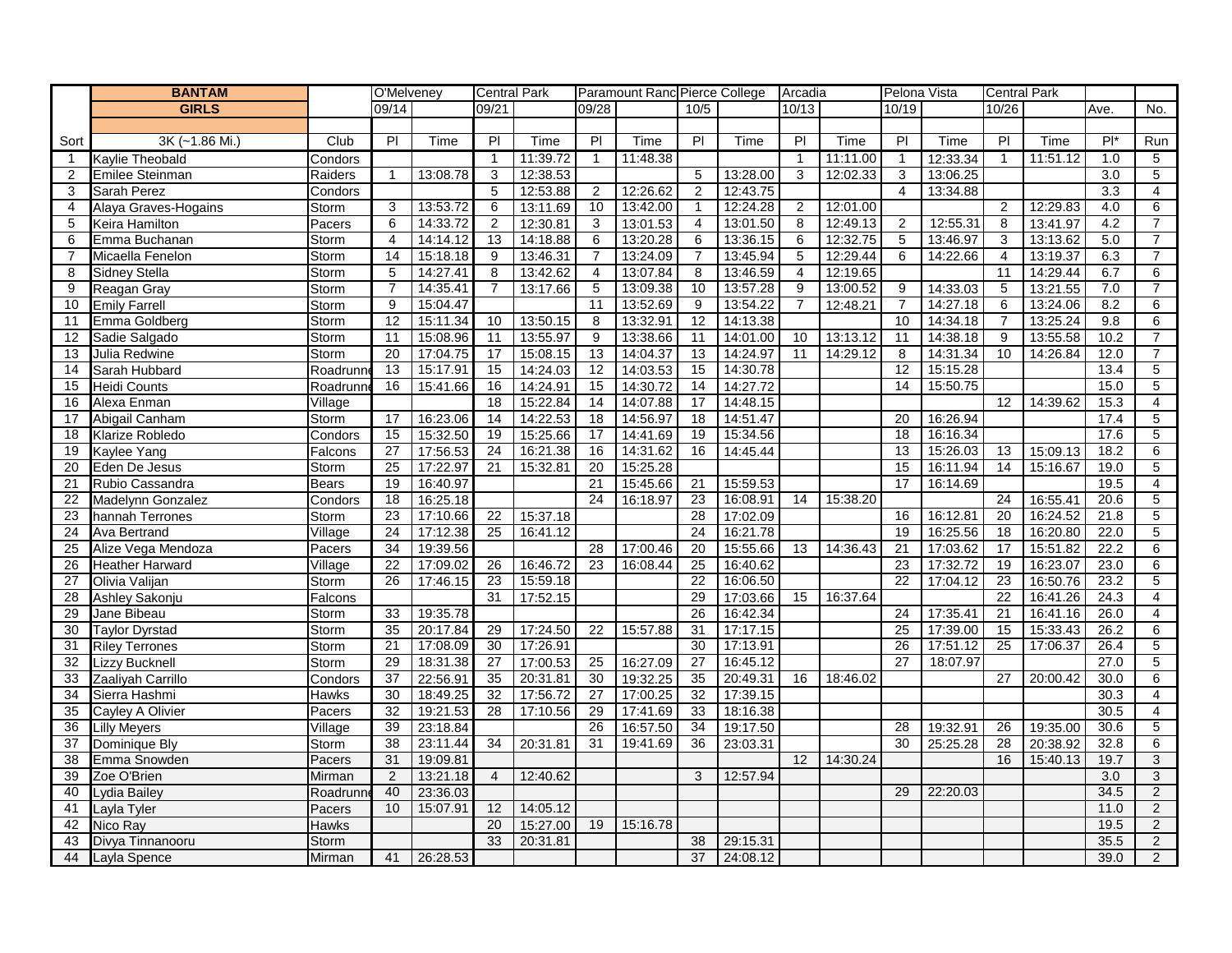|                 | <b>BANTAM</b>                |                              | O'Melveney      |                      | <b>Central Park</b> |                      |                | Paramount Ranc Pierce College |                 |          | Arcadia        |          | Pelona Vista   |                      | <b>Central Park</b> |          |              |                |
|-----------------|------------------------------|------------------------------|-----------------|----------------------|---------------------|----------------------|----------------|-------------------------------|-----------------|----------|----------------|----------|----------------|----------------------|---------------------|----------|--------------|----------------|
|                 | <b>GIRLS</b>                 |                              | 09/14           |                      | 09/21               |                      | 09/28          |                               | 10/5            |          | 10/13          |          | 10/19          |                      | 10/26               |          | Ave.         | No.            |
|                 |                              |                              |                 |                      |                     |                      |                |                               |                 |          |                |          |                |                      |                     |          |              |                |
| Sort            | 3K (~1.86 Mi.)               | Club                         | $\overline{P}$  | Time                 | PI                  | Time                 | PI             | Time                          | $\overline{P}$  | Time     | $\overline{P}$ | Time     | $\overline{P}$ | Time                 | PI                  | Time     | $P^*$        | Run            |
| $\overline{1}$  | Kaylie Theobald              | Condors                      |                 |                      | $\mathbf{1}$        | 11:39.72             | $\mathbf{1}$   | 11:48.38                      |                 |          | $\mathbf{1}$   | 11:11.00 | $\overline{1}$ | 12:33.34             | $\mathbf{1}$        | 11:51.12 | 1.0          | 5              |
| 2               | Emilee Steinman              | Raiders                      | $\overline{1}$  | 13:08.78             | 3                   | 12:38.53             |                |                               | 5               | 13:28.00 | 3              | 12:02.33 | 3              | 13:06.25             |                     |          | 3.0          | $\overline{5}$ |
| 3               | Sarah Perez                  | Condors                      |                 |                      | 5                   | 12:53.88             | $\overline{2}$ | 12:26.62                      | 2               | 12:43.75 |                |          | $\overline{4}$ | 13:34.88             |                     |          | 3.3          | 4              |
| 4               | Alaya Graves-Hogains         | Storm                        | 3               | 13:53.72             | 6                   | 13:11.69             | 10             | 13:42.00                      | $\mathbf{1}$    | 12:24.28 | $\overline{2}$ | 12:01.00 |                |                      | 2                   | 12:29.83 | 4.0          | 6              |
| 5               | Keira Hamilton               | Pacers                       | 6               | 14:33.72             | $\overline{2}$      | 12:30.81             | 3              | 13:01.53                      | 4               | 13:01.50 | 8              | 12:49.13 | $\overline{2}$ | 12:55.31             | 8                   | 13:41.97 | 4.2          | $\overline{7}$ |
| 6               | Emma Buchanan                | Storm                        | $\overline{4}$  | 14:14.12             | 13                  | 14:18.88             | 6              | 13:20.28                      | 6               | 13:36.15 | 6              | 12:32.75 | 5              | 13:46.97             | 3                   | 13:13.62 | 5.0          | $\overline{7}$ |
| $\overline{7}$  | Micaella Fenelon             | Storm                        | 14              | 15:18.18             | 9                   | 13:46.31             | $\overline{7}$ | 13:24.09                      | $\overline{7}$  | 13:45.94 | 5              | 12:29.44 | 6              | 14:22.66             | 4                   | 13:19.37 | 6.3          | $\overline{7}$ |
| 8               | <b>Sidney Stella</b>         | Storm                        | $\sqrt{5}$      | 14:27.41             | 8                   | 13:42.62             | $\overline{4}$ | 13:07.84                      | 8               | 13:46.59 | $\overline{4}$ | 12:19.65 |                |                      | 11                  | 14:29.44 | 6.7          | 6              |
| 9               | Reagan Gray                  | Storm                        | $\overline{7}$  | 14:35.41             | $\overline{7}$      | 13:17.66             | $\overline{5}$ | 13:09.38                      | 10              | 13:57.28 | 9              | 13:00.52 | 9              | 14:33.03             | 5                   | 13:21.55 | 7.0          | $\overline{7}$ |
| 10              | <b>Emily Farrell</b>         | Storm                        | 9               | 15:04.47             |                     |                      | 11             | 13:52.69                      | 9               | 13:54.22 | $\overline{7}$ | 12:48.21 | $\overline{7}$ | 14:27.18             | 6                   | 13:24.06 | 8.2          | 6              |
| 11              | Emma Goldberg                | Storm                        | 12              | 15:11.34             | 10                  | 13:50.15             | 8              | 13:32.91                      | 12              | 14:13.38 |                |          | 10             | 14:34.18             | $\overline{7}$      | 13:25.24 | 9.8          | 6              |
| 12              | Sadie Salgado                | Storm                        | 11              | 15:08.96             | 11                  | 13:55.97             | 9              | 13:38.66                      | 11              | 14:01.00 | 10             | 13:13.12 | 11             | 14:38.18             | 9                   | 13:55.58 | 10.2         | $\overline{7}$ |
| 13              | Julia Redwine                | Storm                        | 20              | 17:04.75             | 17                  | 15:08.15             | 13             | 14:04.37                      | 13              | 14:24.97 | 11             | 14:29.12 | 8              | 14:31.34             | 10                  | 14:26.84 | 12.0         | $\overline{7}$ |
| 14              | Sarah Hubbard                | Roadrunr                     | 13              | 15:17.91             | 15                  | 14:24.03             | 12             | 14:03.53                      | 15              | 14:30.78 |                |          | 12             | 15:15.28             |                     |          | 13.4         | $\overline{5}$ |
| 15              | Heidi Counts                 | Roadrunn                     | 16              | 15:41.66             | 16                  | 14:24.91             | 15             | 14:30.72                      | 14              | 14:27.72 |                |          | 14             | 15:50.75             |                     |          | 15.0         | 5              |
| 16              | Alexa Enman                  | Village                      |                 |                      | 18                  | 15:22.84             | 14<br>18       | 14:07.88                      | 17              | 14:48.15 |                |          |                | 16:26.94             | 12                  | 14:39.62 | 15.3         | 4              |
| 17              | Abigail Canham               | Storm                        | 17<br>15        | 16:23.06             | 14                  | 14:22.53             |                | 14:56.97                      | 18              | 14:51.47 |                |          | 20             |                      |                     |          | 17.4<br>17.6 | 5              |
| 18              | Klarize Robledo              | Condors                      | 27              | 15:32.50<br>17:56.53 | 19<br>24            | 15:25.66<br>16:21.38 | 17<br>16       | 14:41.69<br>14:31.62          | 19<br>16        | 15:34.56 |                |          | 18<br>13       | 16:16.34<br>15:26.03 |                     | 15:09.13 | 18.2         | 5<br>6         |
| 19<br>20        | Kaylee Yang<br>Eden De Jesus | Falcons                      | 25              | 17:22.97             | 21                  | 15:32.81             | 20             | 15:25.28                      |                 | 14:45.44 |                |          | 15             | 16:11.94             | 13<br>14            | 15:16.67 | 19.0         | 5              |
| 21              | Rubio Cassandra              | Storm<br>Bears               | 19              | 16:40.97             |                     |                      | 21             | 15:45.66                      | 21              | 15:59.53 |                |          | 17             | 16:14.69             |                     |          | 19.5         | $\overline{4}$ |
| 22              | Madelynn Gonzalez            | Condors                      | 18              | 16:25.18             |                     |                      | 24             | 16:18.97                      | 23              | 16:08.91 | 14             | 15:38.20 |                |                      | 24                  | 16:55.41 | 20.6         | 5              |
| 23              | hannah Terrones              | Storm                        | 23              | 17:10.66             | 22                  | 15:37.18             |                |                               | 28              | 17:02.09 |                |          | 16             | 16:12.81             | 20                  | 16:24.52 | 21.8         | $\overline{5}$ |
| 24              | Ava Bertrand                 | $\overline{\text{V}}$ illage | $\overline{24}$ | 17:12.38             | 25                  | 16:41.12             |                |                               | 24              | 16:21.78 |                |          | 19             | 16:25.56             | 18                  | 16:20.80 | 22.0         | $\overline{5}$ |
| $\overline{25}$ | Alize Vega Mendoza           | Pacers                       | 34              | 19:39.56             |                     |                      | 28             | 17:00.46                      | 20              | 15:55.66 | 13             | 14:36.43 | 21             | 17:03.62             | 17                  | 15:51.82 | 22.2         | 6              |
| 26              | <b>Heather Harward</b>       | Village                      | 22              | 17:09.02             | 26                  | 16:46.72             | 23             | 16:08.44                      | 25              | 16:40.62 |                |          | 23             | 17:32.72             | 19                  | 16:23.07 | 23.0         | 6              |
| 27              | Olivia Valijan               | Storm                        | 26              | 17:46.15             | 23                  | 15:59.18             |                |                               | 22              | 16:06.50 |                |          | 22             | 17:04.12             | 23                  | 16:50.76 | 23.2         | 5              |
| 28              | Ashley Sakonju               | Falcons                      |                 |                      | 31                  | 17:52.15             |                |                               | 29              | 17:03.66 | 15             | 16:37.64 |                |                      | 22                  | 16:41.26 | 24.3         | 4              |
| 29              | Jane Bibeau                  | Storm                        | 33              | 19:35.78             |                     |                      |                |                               | $\overline{26}$ | 16:42.34 |                |          | 24             | 17:35.4              | 21                  | 16:41.16 | 26.0         | 4              |
| 30              | <b>Taylor Dyrstad</b>        | Storm                        | 35              | 20:17.84             | 29                  | 17:24.50             | 22             | 15:57.88                      | 31              | 17:17.15 |                |          | 25             | 17:39.00             | 15                  | 15:33.43 | 26.2         | 6              |
| 31              | <b>Riley Terrones</b>        | Storm                        | 21              | 17:08.09             | 30                  | 17:26.91             |                |                               | 30              | 17:13.91 |                |          | 26             | 17:51.12             | 25                  | 17:06.37 | 26.4         | 5              |
| 32              | Lizzy Bucknell               | Storm                        | 29              | 18:31.38             | 27                  | 17:00.53             | 25             | 16:27.09                      | 27              | 16:45.12 |                |          | 27             | 18:07.97             |                     |          | 27.0         | $\overline{5}$ |
| 33              | Zaaliyah Carrillo            | Condors                      | $\overline{37}$ | 22:56.91             | 35                  | 20:31.81             | 30             | 19:32.25                      | 35              | 20:49.31 | 16             | 18:46.02 |                |                      | 27                  | 20:00.42 | 30.0         | 6              |
| 34              | Sierra Hashmi                | <b>Hawks</b>                 | 30              | 18:49.25             | 32                  | 17:56.72             | 27             | 17:00.25                      | 32              | 17:39.15 |                |          |                |                      |                     |          | 30.3         | 4              |
| 35              | Cayley A Olivier             | Pacers                       | 32              | 19:21.53             | 28                  | 17:10.56             | 29             | 17:41.69                      | 33              | 18:16.38 |                |          |                |                      |                     |          | 30.5         | $\overline{4}$ |
| 36              | Lilly Meyers                 | Village                      | 39              | 23:18.84             |                     |                      | 26             | 16:57.50                      | 34              | 19:17.50 |                |          | 28             | 19:32.91             | 26                  | 19:35.00 | 30.6         | 5              |
| 37              | Dominique Bly                | Storm                        | 38              | 23:11.44             | 34                  | 20:31.81             | 31             | 19:41.69                      | 36              | 23:03.31 |                |          | 30             | 25:25.28             | 28                  | 20:38.92 | 32.8         | 6              |
| 38              | Emma Snowden                 | Pacers                       | 31              | 19:09.81             |                     |                      |                |                               |                 |          | 12             | 14:30.24 |                |                      | 16                  | 15:40.13 | 19.7         | 3              |
| 39              | Zoe O'Brien                  | Mirman                       | $\overline{2}$  | 13:21.18             | $\overline{4}$      | 12:40.62             |                |                               | 3               | 12:57.94 |                |          |                |                      |                     |          | 3.0          | $\overline{3}$ |
| 40              | Lydia Bailey                 | Roadrunn                     | 40              | 23:36.03             |                     |                      |                |                               |                 |          |                |          | 29             | 22:20.03             |                     |          | 34.5         | $\overline{2}$ |
| 41              | Layla Tyler                  | Pacers                       | 10              | 15:07.91             | 12                  | 14:05.12             |                |                               |                 |          |                |          |                |                      |                     |          | 11.0         | $\overline{c}$ |
| 42              | Nico Ray                     | <b>Hawks</b>                 |                 |                      | 20                  | 15:27.00             | 19             | 15:16.78                      |                 |          |                |          |                |                      |                     |          | 19.5         | $\overline{2}$ |
| 43              | Divya Tinnanooru             | Storm                        |                 |                      | 33                  | 20:31.81             |                |                               | 38              | 29:15.31 |                |          |                |                      |                     |          | 35.5         | $\overline{2}$ |
| 44              | Layla Spence                 | Mirman                       | 41              | 26:28.53             |                     |                      |                |                               | 37              | 24:08.12 |                |          |                |                      |                     |          | 39.0         | $\overline{2}$ |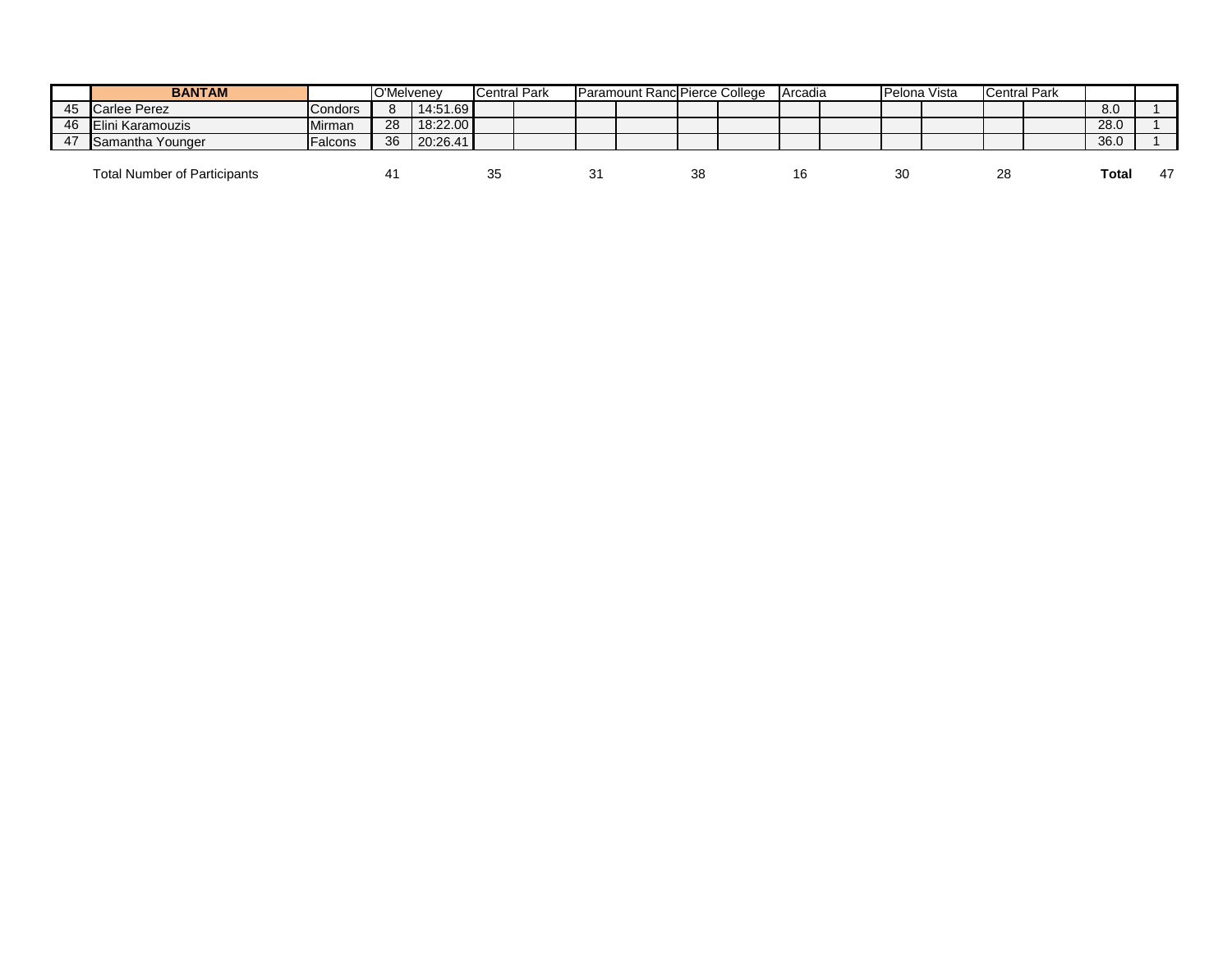|    | <b>BANTAM</b>                       |                | O'Melvenev |          | <b>Central Park</b> |    | Paramount Ranc Pierce College |    | <b>Arcadia</b> | Pelona Vista   | <b>Central Park</b> |       |    |
|----|-------------------------------------|----------------|------------|----------|---------------------|----|-------------------------------|----|----------------|----------------|---------------------|-------|----|
| 45 | Carlee Perez                        | <b>Condors</b> |            | 14:51.69 |                     |    |                               |    |                |                |                     | 8.0   |    |
| 46 | Elini Karamouzis                    | Mirman         | -28        | 18:22.00 |                     |    |                               |    |                |                |                     | 28.0  |    |
| 47 | Samantha Younger                    | <b>Falcons</b> | -36        | 20:26.41 |                     |    |                               |    |                |                |                     | 36.0  |    |
|    | <b>Total Number of Participants</b> |                |            |          | ັບ                  | 3. |                               | 38 | 16             | 3 <sub>C</sub> | 28                  | Total | 47 |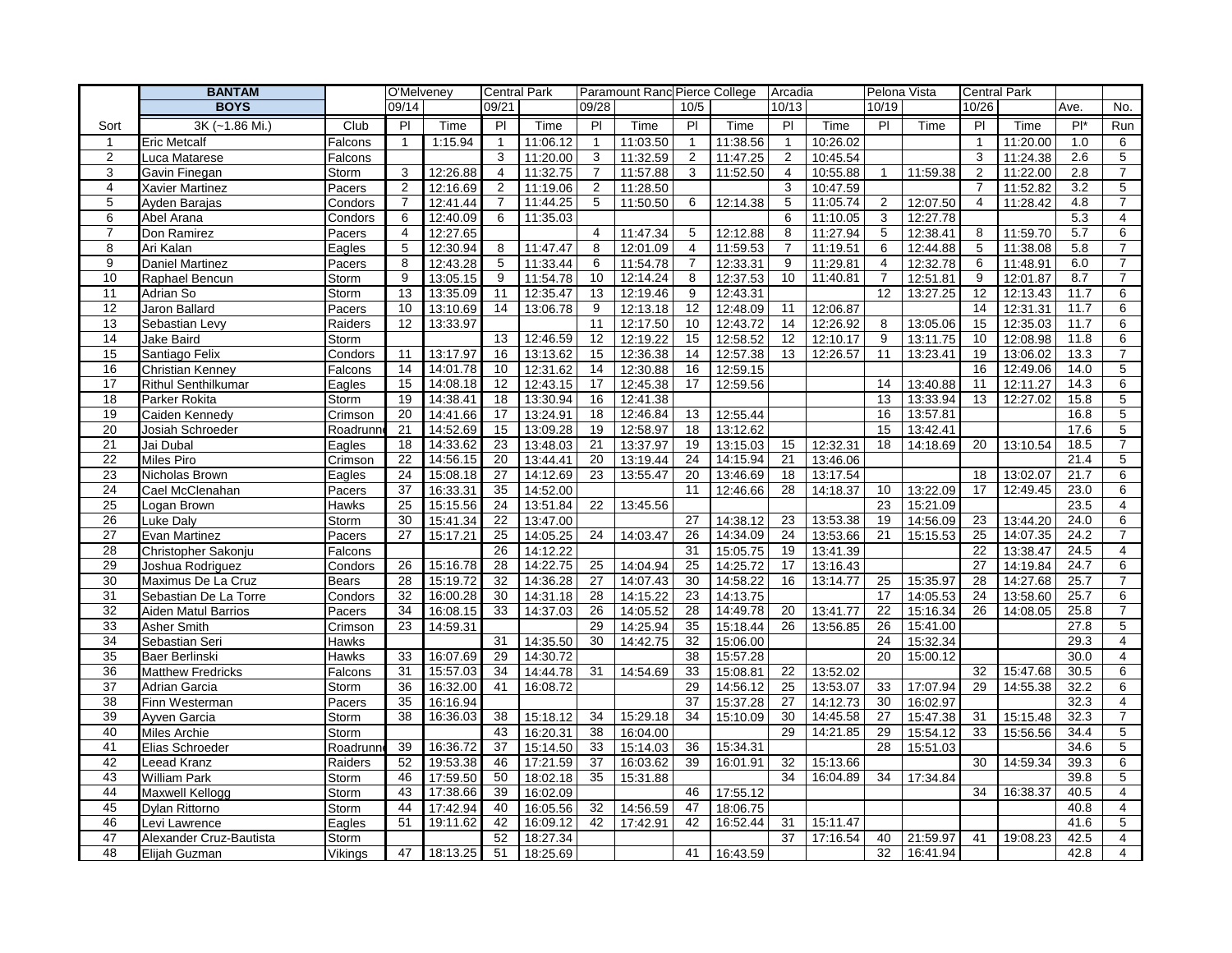|                | <b>BANTAM</b>              |                | O'Melveney            |                      |                | <b>Central Park</b>  |                | Paramount Rand Pierce College |                |                      | Arcadia        |                      |                | Pelona Vista | <b>Central Park</b> |          |                |                     |
|----------------|----------------------------|----------------|-----------------------|----------------------|----------------|----------------------|----------------|-------------------------------|----------------|----------------------|----------------|----------------------|----------------|--------------|---------------------|----------|----------------|---------------------|
|                | <b>BOYS</b>                |                | 09/14                 |                      | 09/21          |                      | 09/28          |                               | 10/5           |                      | 10/13          |                      | 10/19          |              | 10/26               |          | Ave.           | No.                 |
| Sort           | 3K (~1.86 Mi.)             | Club           | $\overline{P}$        | Time                 | $\overline{P}$ | Time                 | $\overline{P}$ | Time                          | PI             | Time                 | P <sub>1</sub> | Time                 | P <sub>1</sub> | Time         | PI                  | Time     | $\overline{P}$ | <b>Run</b>          |
| $\overline{1}$ | <b>Eric Metcalf</b>        | Falcons        | $\mathbf{1}$          | 1:15.94              | $\mathbf{1}$   | 11:06.12             | $\overline{1}$ | 11:03.50                      | $\mathbf{1}$   | 11:38.56             | $\overline{1}$ | 10:26.02             |                |              | $\mathbf{1}$        | 11:20.00 | 1.0            | 6                   |
| $\overline{c}$ | Luca Matarese              | Falcons        |                       |                      | 3              | 11:20.00             | 3              | 11:32.59                      | $\overline{2}$ | 11:47.25             | 2              | 10:45.54             |                |              | 3                   | 11:24.38 | 2.6            | $\sqrt{5}$          |
| 3              | Gavin Finegan              | Storm          | 3                     | 12:26.88             | 4              | 11:32.75             | $\overline{7}$ | 11:57.88                      | 3              | 11:52.50             | 4              | 10:55.88             | $\mathbf{1}$   | 11:59.38     | $\overline{c}$      | 11:22.00 | 2.8            | $\overline{7}$      |
| 4              | Xavier Martinez            | Pacers         | $\overline{2}$        | 12:16.69             | $\overline{2}$ | 11:19.06             | $\overline{2}$ | 11:28.50                      |                |                      | 3              | 10:47.59             |                |              | $\overline{7}$      | 11:52.82 | 3.2            | 5                   |
| 5              | Ayden Barajas              | Condors        | $\overline{7}$        | 12:41.44             | $\overline{7}$ | 11:44.25             | 5              | 11:50.50                      | 6              | 12:14.38             | 5              | 11:05.74             | 2              | 12:07.50     | 4                   | 11:28.42 | 4.8            | $\overline{7}$      |
| 6              | Abel Arana                 | Condors        | 6                     | 12:40.09             | 6              | 11:35.03             |                |                               |                |                      | 6              | 11:10.05             | 3              | 12:27.78     |                     |          | 5.3            | $\overline{4}$      |
| $\overline{7}$ | Don Ramirez                | Pacers         | 4                     | 12:27.65             |                |                      | $\overline{4}$ | 11:47.34                      | 5              | 12:12.88             | 8              | 11:27.94             | 5              | 12:38.41     | 8                   | 11:59.70 | 5.7            | 6                   |
| 8              | Ari Kalan                  | Eagles         | 5                     | 12:30.94             | 8              | 11:47.47             | 8              | 12:01.09                      | $\overline{4}$ | 11:59.53             | $\overline{7}$ | 11:19.51             | 6              | 12:44.88     | 5                   | 11:38.08 | 5.8            | $\overline{7}$      |
| 9              | <b>Daniel Martinez</b>     | Pacers         | 8                     | 12:43.28             | 5              | 11:33.44             | 6              | 11:54.78                      | $\overline{7}$ | 12:33.31             | 9              | 11:29.81             | $\overline{4}$ | 12:32.78     | 6                   | 11:48.91 | 6.0            | $\overline{7}$      |
| 10             | Raphael Bencun             | Storm          | 9                     | 13:05.15             | 9              | 11:54.78             | 10             | 12:14.24                      | 8              | 12:37.53             | 10             | 11:40.81             | 7              | 12:51.81     | 9                   | 12:01.87 | 8.7            | $\overline{7}$      |
| 11             | Adrian So                  | Storm          | 13                    | 13:35.09             | 11             | 12:35.47             | 13             | 12:19.46                      | 9              | 12:43.31             |                |                      | 12             | 13:27.25     | 12                  | 12:13.43 | 11.7           | 6                   |
| 12             | Jaron Ballard              | Pacers         | 10                    | 13:10.69             | 14             | 13:06.78             | 9              | 12:13.18                      | 12             | 12:48.09             | 11             | 12:06.87             |                |              | 14                  | 12:31.31 | 11.7           | 6                   |
| 13             | Sebastian Levy             | Raiders        | 12                    | 13:33.97             |                |                      | 11             | 12:17.50                      | 10             | 12:43.72             | 14             | 12:26.92             | 8              | 13:05.06     | 15                  | 12:35.03 | 11.7           | 6                   |
| 14             | Jake Baird                 | Storm          |                       |                      | 13             | 12:46.59             | 12             | 12:19.22                      | 15             | 12:58.52             | 12             | 12:10.17             | 9              | 13:11.75     | 10                  | 12:08.98 | 11.8           | 6                   |
| 15             | Santiago Felix             | Condors        | 11                    | 13:17.97             | 16             | 13:13.62             | 15             | 12:36.38                      | 14             | 12:57.38             | 13             | 12:26.57             | 11             | 13:23.41     | 19                  | 13:06.02 | 13.3           | $\overline{7}$      |
| 16             | Christian Kenney           | Falcons        | 14                    | 14:01.78             | 10             | 12:31.62             | 14             | 12:30.88                      | 16             | 12:59.15             |                |                      |                |              | 16                  | 12:49.06 | 14.0           | $\overline{5}$      |
| 17             | <b>Rithul Senthilkumar</b> | Eagles         | 15                    | 14:08.18             | 12             | 12:43.15             | 17             | 12:45.38                      | 17             | 12:59.56             |                |                      | 14             | 13:40.88     | 11                  | 12:11.27 | 14.3           | 6                   |
| 18             | Parker Rokita              | Storm          | 19                    | 14:38.41             | 18             | 13:30.94             | 16             | 12:41.38                      |                |                      |                |                      | 13             | 13:33.94     | 13                  | 12:27.02 | 15.8           | 5                   |
| 19             | Caiden Kennedy             | Crimson        | 20                    | 14:41.66             | 17             | 13:24.91             | 18             | 12:46.84                      | 13             | 12:55.44             |                |                      | 16             | 13:57.81     |                     |          | 16.8           | 5                   |
| 20             | Josiah Schroeder           | Roadrunr       | 21                    | 14:52.69             | 15             | 13:09.28             | 19             | 12:58.97                      | 18             | 13:12.62             |                |                      | 15             | 13:42.41     |                     |          | 17.6           | $\sqrt{5}$          |
| 21             | Jai Dubal                  | Eagles         | 18                    | 14:33.62             | 23             | 13:48.03             | 21             | 13:37.97                      | 19             | 13:15.03             | 15             | 12:32.31             | 18             | 14:18.69     | 20                  | 13:10.54 | 18.5           | $\overline{7}$      |
| 22             | <b>Miles Piro</b>          | Crimson        | 22                    | 14:56.15             | 20             | 13:44.41             | 20             | 13:19.44                      | 24             | 14:15.94             | 21             | 13:46.06             |                |              |                     |          | 21.4           | 5                   |
| 23             | Nicholas Brown             | Eagles         | 24                    | 15:08.18             | 27             | 14:12.69             | 23             | 13:55.47                      | 20             | 13:46.69             | 18             | 13:17.54             |                |              | 18                  | 13:02.07 | 21.7           | 6                   |
| 24             | Cael McClenahan            | Pacers         | 37                    | 16:33.31             | 35             | 14:52.00             |                |                               | 11             | 12:46.66             | 28             | 14:18.37             | 10             | 13:22.09     | 17                  | 12:49.45 | 23.0           | 6                   |
| 25             | Logan Brown                | Hawks          | 25                    | 15:15.56             | 24             | 13:51.84             | 22             | 13:45.56                      |                |                      |                |                      | 23             | 15:21.09     |                     |          | 23.5           | $\overline{4}$      |
| 26             | Luke Daly                  | Storm          | 30                    | 15:41.34             | 22             | 13:47.00             |                |                               | 27             | 14:38.12             | 23             | 13:53.38             | 19             | 14:56.09     | 23                  | 13:44.20 | 24.0           | 6                   |
| 27             | Evan Martinez              | Pacers         | 27                    | 15:17.21             | 25             | 14:05.25             | 24             | 14:03.47                      | 26             | 14:34.09             | 24             | 13:53.66             | 21             | 15:15.53     | 25                  | 14:07.35 | 24.2           | $\overline{7}$      |
| 28             | Christopher Sakonju        | Falcons        |                       |                      | 26             | 14:12.22             |                |                               | 31             | 15:05.75             | 19             | 13:41.39             |                |              | 22                  | 13:38.47 | 24.5           | $\overline{4}$      |
| 29             | Joshua Rodriguez           | Condors        | 26                    | 15:16.78             | 28             | 14:22.75             | 25             | 14:04.94                      | 25             | 14:25.72             | 17             | 13:16.43             |                |              | 27                  | 14:19.84 | 24.7           | 6                   |
| 30             | Maximus De La Cruz         | <b>Bears</b>   | 28                    | 15:19.72             | 32             | 14:36.28             | 27             | 14:07.43                      | 30             | 14:58.22             | 16             | 13:14.77             | 25             | 15:35.97     | 28                  | 14:27.68 | 25.7           | $\overline{7}$      |
| 31             | Sebastian De La Torre      | Condors        | 32                    | 16:00.28             | 30             | 14:31.18             | 28             | 14:15.22                      | 23             | 14:13.75             |                |                      | 17             | 14:05.53     | 24                  | 13:58.60 | 25.7           | 6                   |
| 32             | Aiden Matul Barrios        | Pacers         | 34                    | 16:08.15             | 33             | 14:37.03             | 26             | 14:05.52                      | 28             | 14:49.78             | 20             | 13:41.77             | 22             | 15:16.34     | 26                  | 14:08.05 | 25.8           | $\overline{7}$      |
| 33             | Asher Smith                | Crimson        | 23                    | 14:59.31             |                |                      | 29             | 14:25.94                      | 35             | 15:18.44             | 26             | 13:56.85             | 26             | 15:41.00     |                     |          | 27.8           | 5                   |
| 34             | Sebastian Seri             | Hawks          |                       |                      | 31             | 14:35.50             | 30             | 14:42.75                      | 32             | 15:06.00             |                |                      | 24             | 15:32.34     |                     |          | 29.3           | 4                   |
| 35             | Baer Berlinski             | Hawks          | 33                    | 16:07.69             | 29             | 14:30.72             |                |                               | 38             | 15:57.28             |                |                      | 20             | 15:00.12     |                     |          | 30.0           | $\overline{4}$      |
| 36             | Matthew Fredricks          | Falcons        | 31                    | 15:57.03             | 34             | 14:44.78             | 31             | 14:54.69                      | 33             | 15:08.81             | 22             | 13:52.02             |                |              | 32                  | 15:47.68 | 30.5           | 6                   |
| 37             | Adrian Garcia              | Storm          | 36<br>$\overline{35}$ | 16:32.00             | 41             | 16:08.72             |                |                               | 29             | 14:56.12             | 25             | 13:53.07             | 33             | 17:07.94     | 29                  | 14:55.38 | 32.2           | 6                   |
| 38             | Finn Westerman             | Pacers         |                       | 16:16.94             |                |                      |                |                               | 37             | 15:37.28             | 27             | 14:12.73             | 30             | 16:02.97     |                     |          | 32.3           | $\overline{4}$      |
| 39             | Ayven Garcia               | Storm          | 38                    | 16:36.03             | 38             | 15:18.12             | 34             | 15:29.18                      | 34             | 15:10.09             | 30             | 14:45.58             | 27             | 15:47.38     | 31                  | 15:15.48 | 32.3           | $\overline{7}$      |
| 40             | <b>Miles Archie</b>        | Storm          |                       |                      | 43             | 16:20.31             | 38             | 16:04.00                      |                |                      | 29             | 14:21.85             | 29             | 15:54.12     | 33                  | 15:56.56 | 34.4           | $\overline{5}$      |
| 41<br>42       | Elias Schroeder            | Roadrunn       | 39<br>52              | 16:36.72<br>19:53.38 | 37<br>46       | 15:14.50             | 33             | 15:14.03<br>16:03.62          | 36<br>39       | 15:34.31<br>16:01.91 | 32             | 15:13.66             | 28             | 15:51.03     | 30                  | 14:59.34 | 34.6<br>39.3   | 5<br>6              |
| 43             | Leead Kranz                | Raiders        | 46                    |                      |                | 17:21.59             | 37<br>35       |                               |                |                      | 34             |                      | 34             |              |                     |          |                | 5                   |
|                | <b>William Park</b>        | Storm          | 43                    | 17:59.50             | 50             | 18:02.18             |                | 15:31.88                      |                |                      |                | 16:04.89             |                | 17:34.84     |                     |          | 39.8           |                     |
| 44             | Maxwell Kellogg            | Storm          | 44                    | 17:38.66             | 39             | 16:02.09             |                |                               | 46             | 17:55.12             |                |                      |                |              | 34                  | 16:38.37 | 40.5<br>40.8   | 4<br>$\overline{4}$ |
| 45<br>46       | Dylan Rittorno             | Storm          | 51                    | 17:42.94<br>19:11.62 | 40<br>42       | 16:05.56             | 32<br>42       | 14:56.59                      | 47<br>42       | 18:06.75<br>16:52.44 | 31             |                      |                |              |                     |          | 41.6           | 5                   |
| 47             | Levi Lawrence              | Eagles         |                       |                      | 52             | 16:09.12<br>18:27.34 |                | 17:42.91                      |                |                      | 37             | 15:11.47<br>17:16.54 | 40             | 21:59.97     | 41                  | 19:08.23 | 42.5           | $\overline{4}$      |
| 48             | Alexander Cruz-Bautista    | Storm          |                       |                      |                |                      |                |                               | 41             |                      |                |                      |                |              |                     |          |                | 4                   |
|                | Elijah Guzman              | <b>Vikings</b> | 47                    | 18:13.25             | 51             | 18:25.69             |                |                               |                | 16:43.59             |                |                      | 32             | 16:41.94     |                     |          | 42.8           |                     |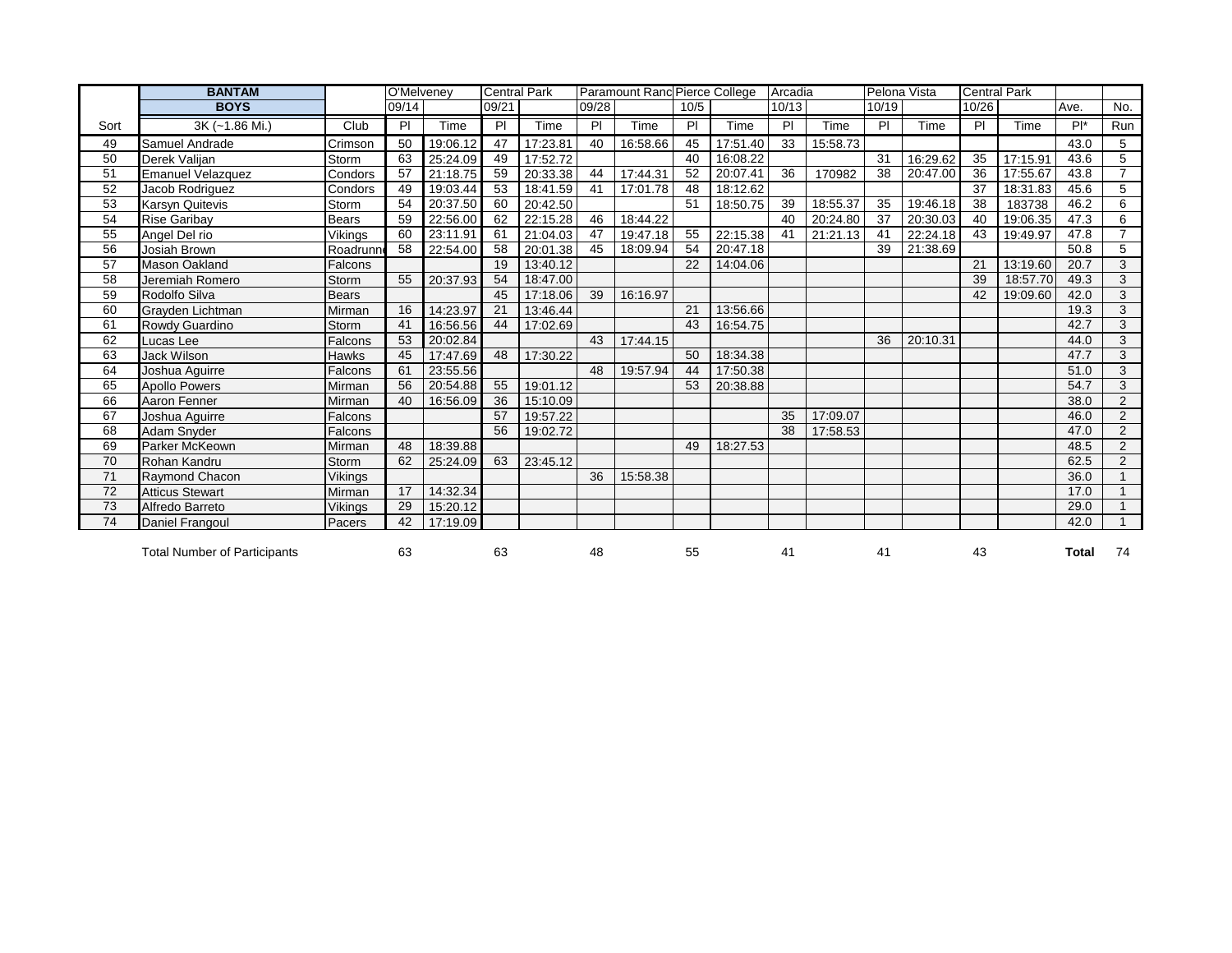|      | <b>BANTAM</b>                       |              | O'Melveney |          | <b>Central Park</b> |          |       | Paramount Rand Pierce College |      |          | Arcadia |          | Pelona Vista |          | <b>Central Park</b> |          |                |                 |
|------|-------------------------------------|--------------|------------|----------|---------------------|----------|-------|-------------------------------|------|----------|---------|----------|--------------|----------|---------------------|----------|----------------|-----------------|
|      | <b>BOYS</b>                         |              | 09/14      |          | 09/21               |          | 09/28 |                               | 10/5 |          | 10/13   |          | 10/19        |          | 10/26               |          | Ave.           | No.             |
| Sort | 3K (~1.86 Mi.)                      | Club         | PI         | Time     | P                   | Time     | PI    | Time                          | P    | Time     | PI      | Time     | P            | Time     | PI                  | Time     | $\overline{P}$ | Run             |
| 49   | Samuel Andrade                      | Crimson      | 50         | 19:06.12 | 47                  | 17:23.81 | 40    | 16:58.66                      | 45   | 17:51.40 | 33      | 15:58.73 |              |          |                     |          | 43.0           | $5\overline{5}$ |
| 50   | Derek Valijan                       | Storm        | 63         | 25:24.09 | 49                  | 17:52.72 |       |                               | 40   | 16:08.22 |         |          | 31           | 16:29.62 | 35                  | 17:15.91 | 43.6           | 5               |
| 51   | <b>Emanuel Velazquez</b>            | Condors      | 57         | 21:18.75 | 59                  | 20:33.38 | 44    | 17:44.31                      | 52   | 20:07.41 | 36      | 170982   | 38           | 20:47.00 | 36                  | 17:55.67 | 43.8           | $\overline{7}$  |
| 52   | Jacob Rodriguez                     | Condors      | 49         | 19:03.44 | 53                  | 18:41.59 | 41    | 17:01.78                      | 48   | 18:12.62 |         |          |              |          | 37                  | 18:31.83 | 45.6           | 5               |
| 53   | Karsyn Quitevis                     | Storm        | 54         | 20:37.50 | 60                  | 20:42.50 |       |                               | 51   | 18:50.75 | 39      | 18:55.37 | 35           | 19:46.18 | 38                  | 183738   | 46.2           | 6               |
| 54   | <b>Rise Garibay</b>                 | <b>Bears</b> | 59         | 22:56.00 | 62                  | 22:15.28 | 46    | 18:44.22                      |      |          | 40      | 20:24.80 | 37           | 20:30.03 | 40                  | 19:06.35 | 47.3           | 6               |
| 55   | Angel Del rio                       | Vikings      | 60         | 23:11.91 | 61                  | 21:04.03 | 47    | 19:47.18                      | 55   | 22:15.38 | -41     | 21:21.13 | 41           | 22:24.18 | 43                  | 19:49.97 | 47.8           | $\overline{7}$  |
| 56   | Josiah Brown                        | Roadrunn     | 58         | 22:54.00 | 58                  | 20:01.38 | 45    | 18:09.94                      | 54   | 20:47.18 |         |          | 39           | 21:38.69 |                     |          | 50.8           | 5               |
| 57   | Mason Oakland                       | Falcons      |            |          | 19                  | 13:40.12 |       |                               | 22   | 14:04.06 |         |          |              |          | 21                  | 13:19.60 | 20.7           | 3               |
| 58   | Jeremiah Romero                     | Storm        | 55         | 20:37.93 | 54                  | 18:47.00 |       |                               |      |          |         |          |              |          | 39                  | 18:57.70 | 49.3           | 3               |
| 59   | Rodolfo Silva                       | <b>Bears</b> |            |          | 45                  | 17:18.06 | 39    | 16:16.97                      |      |          |         |          |              |          | 42                  | 19:09.60 | 42.0           | 3               |
| 60   | Grayden Lichtman                    | Mirman       | 16         | 14:23.97 | 21                  | 13:46.44 |       |                               | 21   | 13:56.66 |         |          |              |          |                     |          | 19.3           | 3               |
| 61   | Rowdy Guardino                      | <b>Storm</b> | 41         | 16:56.56 | 44                  | 17:02.69 |       |                               | 43   | 16:54.75 |         |          |              |          |                     |          | 42.7           | 3               |
| 62   | Lucas Lee                           | Falcons      | 53         | 20:02.84 |                     |          | 43    | 17:44.15                      |      |          |         |          | 36           | 20:10.31 |                     |          | 44.0           | $\mathbf{3}$    |
| 63   | Jack Wilson                         | <b>Hawks</b> | 45         | 17:47.69 | 48                  | 17:30.22 |       |                               | 50   | 18:34.38 |         |          |              |          |                     |          | 47.7           | 3               |
| 64   | Joshua Aguirre                      | Falcons      | 61         | 23:55.56 |                     |          | 48    | 19:57.94                      | 44   | 17:50.38 |         |          |              |          |                     |          | 51.0           | $\overline{3}$  |
| 65   | <b>Apollo Powers</b>                | Mirman       | 56         | 20:54.88 | 55                  | 19:01.12 |       |                               | 53   | 20:38.88 |         |          |              |          |                     |          | 54.7           | 3               |
| 66   | Aaron Fenner                        | Mirman       | 40         | 16:56.09 | 36                  | 15:10.09 |       |                               |      |          |         |          |              |          |                     |          | 38.0           | $\overline{2}$  |
| 67   | Joshua Aguirre                      | Falcons      |            |          | 57                  | 19:57.22 |       |                               |      |          | 35      | 17:09.07 |              |          |                     |          | 46.0           | $\overline{2}$  |
| 68   | Adam Snyder                         | Falcons      |            |          | 56                  | 19:02.72 |       |                               |      |          | 38      | 17:58.53 |              |          |                     |          | 47.0           | $\overline{2}$  |
| 69   | Parker McKeown                      | Mirman       | 48         | 18:39.88 |                     |          |       |                               | 49   | 18:27.53 |         |          |              |          |                     |          | 48.5           | $\overline{2}$  |
| 70   | Rohan Kandru                        | Storm        | 62         | 25:24.09 | 63                  | 23:45.12 |       |                               |      |          |         |          |              |          |                     |          | 62.5           | $\overline{2}$  |
| 71   | Raymond Chacon                      | Vikings      |            |          |                     |          | 36    | 15:58.38                      |      |          |         |          |              |          |                     |          | 36.0           | $\mathbf{1}$    |
| 72   | <b>Atticus Stewart</b>              | Mirman       | 17         | 14:32.34 |                     |          |       |                               |      |          |         |          |              |          |                     |          | 17.0           |                 |
| 73   | Alfredo Barreto                     | Vikings      | 29         | 15:20.12 |                     |          |       |                               |      |          |         |          |              |          |                     |          | 29.0           | $\mathbf{1}$    |
| 74   | Daniel Frangoul                     | Pacers       | 42         | 17:19.09 |                     |          |       |                               |      |          |         |          |              |          |                     |          | 42.0           | $\overline{ }$  |
|      | <b>Total Number of Participants</b> |              | 63         |          | 63                  |          | 48    |                               | 55   |          | 41      |          | 41           |          | 43                  |          | Total          | 74              |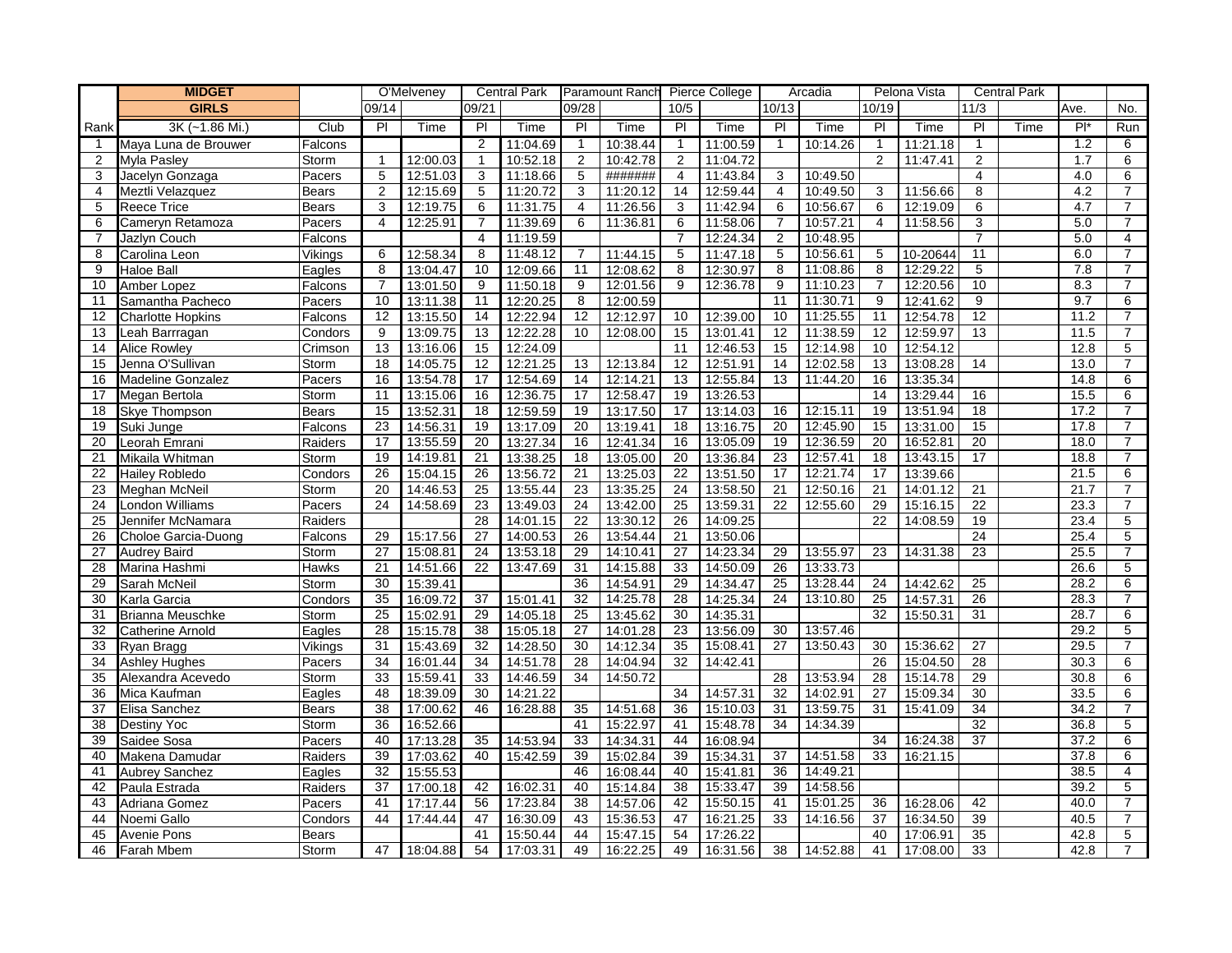|                | <b>MIDGET</b>            |              |                | O'Melveney |                | <b>Central Park</b> |                | Paramount Ranch Pierce College |                 |          |                 | Arcadia  |                | Pelona Vista |                 | <b>Central Park</b> |                  |                |
|----------------|--------------------------|--------------|----------------|------------|----------------|---------------------|----------------|--------------------------------|-----------------|----------|-----------------|----------|----------------|--------------|-----------------|---------------------|------------------|----------------|
|                | <b>GIRLS</b>             |              | 09/14          |            | 09/21          |                     | 09/28          |                                | 10/5            |          | 10/13           |          | 10/19          |              | 11/3            |                     | Ave.             | No.            |
| Rank           | 3K (~1.86 Mi.)           | Club         | $\overline{P}$ | Time       | $\overline{P}$ | Time                | PI             | Time                           | $\overline{P}$  | Time     | PI              | Time     | $\overline{P}$ | Time         | $\overline{P}$  | Time                | $\overline{P}$   | Run            |
| -1             | Maya Luna de Brouwer     | Falcons      |                |            | $\overline{2}$ | 11:04.69            | $\mathbf{1}$   | 10:38.44                       | $\mathbf{1}$    | 11:00.59 | $\mathbf{1}$    | 10:14.26 | $\mathbf{1}$   | 11:21.18     | $\mathbf 1$     |                     | $\overline{1.2}$ | 6              |
| $\overline{2}$ | <b>Myla Pasley</b>       | Storm        | $\mathbf{1}$   | 12:00.03   | $\mathbf{1}$   | 10:52.18            | 2              | 10:42.78                       | 2               | 11:04.72 |                 |          | $\overline{2}$ | 11:47.41     | $\overline{2}$  |                     | 1.7              | 6              |
| 3              | Jacelyn Gonzaga          | Pacers       | 5              | 12:51.03   | 3              | 11:18.66            | 5              | #######                        | 4               | 11:43.84 | 3               | 10:49.50 |                |              | $\overline{4}$  |                     | 4.0              | 6              |
| 4              | Meztli Velazquez         | <b>Bears</b> | 2              | 12:15.69   | 5              | 11:20.72            | 3              | 11:20.12                       | 14              | 12:59.44 | $\overline{4}$  | 10:49.50 | 3              | 11:56.66     | 8               |                     | 4.2              | $\overline{7}$ |
| 5              | <b>Reece Trice</b>       | <b>Bears</b> | 3              | 12:19.75   | 6              | 11:31.75            | $\overline{4}$ | 11:26.56                       | 3               | 11:42.94 | 6               | 10:56.67 | 6              | 12:19.09     | $6 \overline{}$ |                     | 4.7              | 7              |
| 6              | Cameryn Retamoza         | Pacers       | $\overline{4}$ | 12:25.91   | $\overline{7}$ | 11:39.69            | 6              | 11:36.81                       | 6               | 11:58.06 | $\overline{7}$  | 10:57.21 | 4              | 11:58.56     | 3               |                     | 5.0              | 7              |
| $\overline{7}$ | Jazlyn Couch             | Falcons      |                |            | 4              | 11:19.59            |                |                                | $\overline{7}$  | 12:24.34 | $\overline{2}$  | 10:48.95 |                |              | $\overline{7}$  |                     | 5.0              | 4              |
| 8              | Carolina Leon            | Vikings      | 6              | 12:58.34   | 8              | 11:48.12            | 7              | 11:44.15                       | 5               | 11:47.18 | 5               | 10:56.61 | 5              | 10-20644     | 11              |                     | 6.0              | $\overline{7}$ |
| 9              | <b>Haloe Ball</b>        | Eagles       | 8              | 13:04.47   | 10             | 12:09.66            | 11             | 12:08.62                       | 8               | 12:30.97 | 8               | 11:08.86 | 8              | 12:29.22     | 5               |                     | 7.8              | $\overline{7}$ |
| 10             | Amber Lopez              | Falcons      | $\overline{7}$ | 13:01.50   | 9              | 11:50.18            | 9              | 12:01.56                       | 9               | 12:36.78 | 9               | 11:10.23 | 7              | 12:20.56     | 10              |                     | 8.3              | $\overline{7}$ |
| 11             | Samantha Pacheco         | Pacers       | 10             | 13:11.38   | 11             | 12:20.25            | 8              | 12:00.59                       |                 |          | 11              | 11:30.71 | 9              | 12:41.62     | 9               |                     | 9.7              | 6              |
| 12             | <b>Charlotte Hopkins</b> | Falcons      | 12             | 13:15.50   | 14             | 12:22.94            | 12             | 12:12.97                       | 10              | 12:39.00 | 10              | 11:25.55 | 11             | 12:54.78     | $\overline{12}$ |                     | 11.2             | $\overline{7}$ |
| 13             | Leah Barrragan           | Condors      | 9              | 13:09.75   | 13             | 12:22.28            | 10             | 12:08.00                       | 15              | 13:01.41 | 12              | 11:38.59 | 12             | 12:59.97     | 13              |                     | 11.5             | $\overline{7}$ |
| 14             | <b>Alice Rowley</b>      | Crimson      | 13             | 13:16.06   | 15             | 12:24.09            |                |                                | 11              | 12:46.53 | 15              | 12:14.98 | 10             | 12:54.12     |                 |                     | 12.8             | 5              |
| 15             | Jenna O'Sullivan         | Storm        | 18             | 14:05.75   | 12             | 12:21.25            | 13             | 12:13.84                       | 12              | 12:51.91 | 14              | 12:02.58 | 13             | 13:08.28     | 14              |                     | 13.0             | $\overline{7}$ |
| 16             | <b>Madeline Gonzalez</b> | Pacers       | 16             | 13:54.78   | 17             | 12:54.69            | 14             | 12:14.21                       | 13              | 12:55.84 | 13              | 11:44.20 | 16             | 13:35.34     |                 |                     | 14.8             | 6              |
| 17             | Megan Bertola            | Storm        | 11             | 13:15.06   | 16             | 12:36.75            | 17             | 12:58.47                       | 19              | 13:26.53 |                 |          | 14             | 13:29.44     | 16              |                     | 15.5             | 6              |
| 18             | Skye Thompson            | <b>Bears</b> | 15             | 13:52.31   | 18             | 12:59.59            | 19             | 13:17.50                       | 17              | 13:14.03 | 16              | 12:15.11 | 19             | 13:51.94     | 18              |                     | 17.2             | 7              |
| 19             | Suki Junge               | Falcons      | 23             | 14:56.31   | 19             | 13:17.09            | 20             | 13:19.41                       | 18              | 13:16.75 | 20              | 12:45.90 | 15             | 13:31.00     | 15              |                     | 17.8             | $\overline{7}$ |
| 20             | Leorah Emrani            | Raiders      | 17             | 13:55.59   | 20             | 13:27.34            | 16             | 12:41.34                       | 16              | 13:05.09 | 19              | 12:36.59 | 20             | 16:52.81     | 20              |                     | 18.0             | $\overline{7}$ |
| 21             | Mikaila Whitman          | Storm        | 19             | 14:19.81   | 21             | 13:38.25            | 18             | 13:05.00                       | 20              | 13:36.84 | 23              | 12:57.41 | 18             | 13:43.15     | 17              |                     | 18.8             | 7              |
| 22             | <b>Hailey Robledo</b>    | Condors      | 26             | 15:04.15   | 26             | 13:56.72            | 21             | 13:25.03                       | 22              | 13:51.50 | 17              | 12:21.74 | 17             | 13:39.66     |                 |                     | 21.5             | 6              |
| 23             | Meghan McNeil            | Storm        | 20             | 14:46.53   | 25             | 13:55.44            | 23             | 13:35.25                       | 24              | 13:58.50 | 21              | 12:50.16 | 21             | 14:01.12     | 21              |                     | 21.7             | $\overline{7}$ |
| 24             | <b>London Williams</b>   | Pacers       | 24             | 14:58.69   | 23             | 13:49.03            | 24             | 13:42.00                       | 25              | 13:59.31 | 22              | 12:55.60 | 29             | 15:16.15     | 22              |                     | 23.3             | $\overline{7}$ |
| 25             | Jennifer McNamara        | Raiders      |                |            | 28             | 14:01.15            | 22             | 13:30.12                       | 26              | 14:09.25 |                 |          | 22             | 14:08.59     | 19              |                     | 23.4             | 5              |
| 26             | Choloe Garcia-Duong      | Falcons      | 29             | 15:17.56   | 27             | 14:00.53            | 26             | 13:54.44                       | 21              | 13:50.06 |                 |          |                |              | $\overline{24}$ |                     | 25.4             | 5              |
| 27             | <b>Audrey Baird</b>      | Storm        | 27             | 15:08.81   | 24             | 13:53.18            | 29             | 14:10.41                       | 27              | 14:23.34 | 29              | 13:55.97 | 23             | 14:31.38     | 23              |                     | 25.5             | 7              |
| 28             | Marina Hashmi            | Hawks        | 21             | 14:51.66   | 22             | 13:47.69            | 31             | 14:15.88                       | 33              | 14:50.09 | 26              | 13:33.73 |                |              |                 |                     | 26.6             | 5              |
| 29             | Sarah McNeil             | Storm        | 30             | 15:39.41   |                |                     | 36             | 14:54.91                       | 29              | 14:34.47 | 25              | 13:28.44 | 24             | 14:42.62     | 25              |                     | 28.2             | 6              |
| 30             | Karla Garcia             | Condors      | 35             | 16:09.72   | 37             | 15:01.41            | 32             | 14:25.78                       | 28              | 14:25.34 | 24              | 13:10.80 | 25             | 14:57.31     | 26              |                     | 28.3             | 7              |
| 31             | <b>Brianna Meuschke</b>  | Storm        | 25             | 15:02.91   | 29             | 14:05.18            | 25             | 13:45.62                       | 30              | 14:35.31 |                 |          | 32             | 15:50.31     | 31              |                     | 28.7             | 6              |
| 32             | <b>Catherine Arnold</b>  | Eagles       | 28             | 15:15.78   | 38             | 15:05.18            | 27             | 14:01.28                       | $\overline{23}$ | 13:56.09 | 30              | 13:57.46 |                |              |                 |                     | 29.2             | 5              |
| 33             | Ryan Bragg               | Vikings      | 31             | 15:43.69   | 32             | 14:28.50            | 30             | 14:12.34                       | 35              | 15:08.41 | 27              | 13:50.43 | 30             | 15:36.62     | 27              |                     | 29.5             | $\overline{7}$ |
| 34             | <b>Ashley Hughes</b>     | Pacers       | 34             | 16:01.44   | 34             | 14:51.78            | 28             | 14:04.94                       | 32              | 14:42.41 |                 |          | 26             | 15:04.50     | 28              |                     | 30.3             | 6              |
| 35             | Alexandra Acevedo        | Storm        | 33             | 15:59.41   | 33             | 14:46.59            | 34             | 14:50.72                       |                 |          | 28              | 13:53.94 | 28             | 15:14.78     | 29              |                     | 30.8             | 6              |
| 36             | Mica Kaufman             | Eagles       | 48             | 18:39.09   | 30             | 14:21.22            |                |                                | 34              | 14:57.31 | $\overline{32}$ | 14:02.91 | 27             | 15:09.34     | $\overline{30}$ |                     | 33.5             | 6              |
| 37             | Elisa Sanchez            | <b>Bears</b> | 38             | 17:00.62   | 46             | 16:28.88            | 35             | 14:51.68                       | 36              | 15:10.03 | 31              | 13:59.75 | 31             | 15:41.09     | 34              |                     | 34.2             | 7              |
| 38             | Destiny Yoc              | Storm        | 36             | 16:52.66   |                |                     | 41             | 15:22.97                       | 41              | 15:48.78 | 34              | 14:34.39 |                |              | 32              |                     | 36.8             | 5              |
| 39             | Saidee Sosa              | Pacers       | 40             | 17:13.28   | 35             | 14:53.94            | 33             | 14:34.31                       | 44              | 16:08.94 |                 |          | 34             | 16:24.38     | 37              |                     | 37.2             | 6              |
| 40             | Makena Damudar           | Raiders      | 39             | 17:03.62   | 40             | 15:42.59            | 39             | 15:02.84                       | 39              | 15:34.31 | 37              | 14:51.58 | 33             | 16:21.15     |                 |                     | 37.8             | 6              |
| 41             | <b>Aubrey Sanchez</b>    | Eagles       | 32             | 15:55.53   |                |                     | 46             | 16:08.44                       | 40              | 15:41.81 | 36              | 14:49.21 |                |              |                 |                     | 38.5             | $\overline{4}$ |
| 42             | Paula Estrada            | Raiders      | 37             | 17:00.18   | 42             | 16:02.31            | 40             | 15:14.84                       | 38              | 15:33.47 | 39              | 14:58.56 |                |              |                 |                     | 39.2             | 5              |
| 43             | Adriana Gomez            | Pacers       | 41             | 17:17.44   | 56             | 17:23.84            | 38             | 14:57.06                       | 42              | 15:50.15 | 41              | 15:01.25 | 36             | 16:28.06     | 42              |                     | 40.0             | $\overline{7}$ |
| 44             | Noemi Gallo              | Condors      | 44             | 17:44.44   | 47             | 16:30.09            | 43             | 15:36.53                       | 47              | 16:21.25 | 33              | 14:16.56 | 37             | 16:34.50     | $\overline{39}$ |                     | 40.5             | $\overline{7}$ |
| 45             | <b>Avenie Pons</b>       | <b>Bears</b> |                |            | 41             | 15:50.44            | 44             | 15:47.15                       | 54              | 17:26.22 |                 |          | 40             | 17:06.91     | 35              |                     | 42.8             | 5              |
| 46             | <b>Farah Mbem</b>        | Storm        | 47             | 18:04.88   | 54             | 17:03.31            | 49             | 16:22.25                       | 49              | 16:31.56 | 38              | 14:52.88 | 41             | 17:08.00     | 33              |                     | 42.8             | $\overline{7}$ |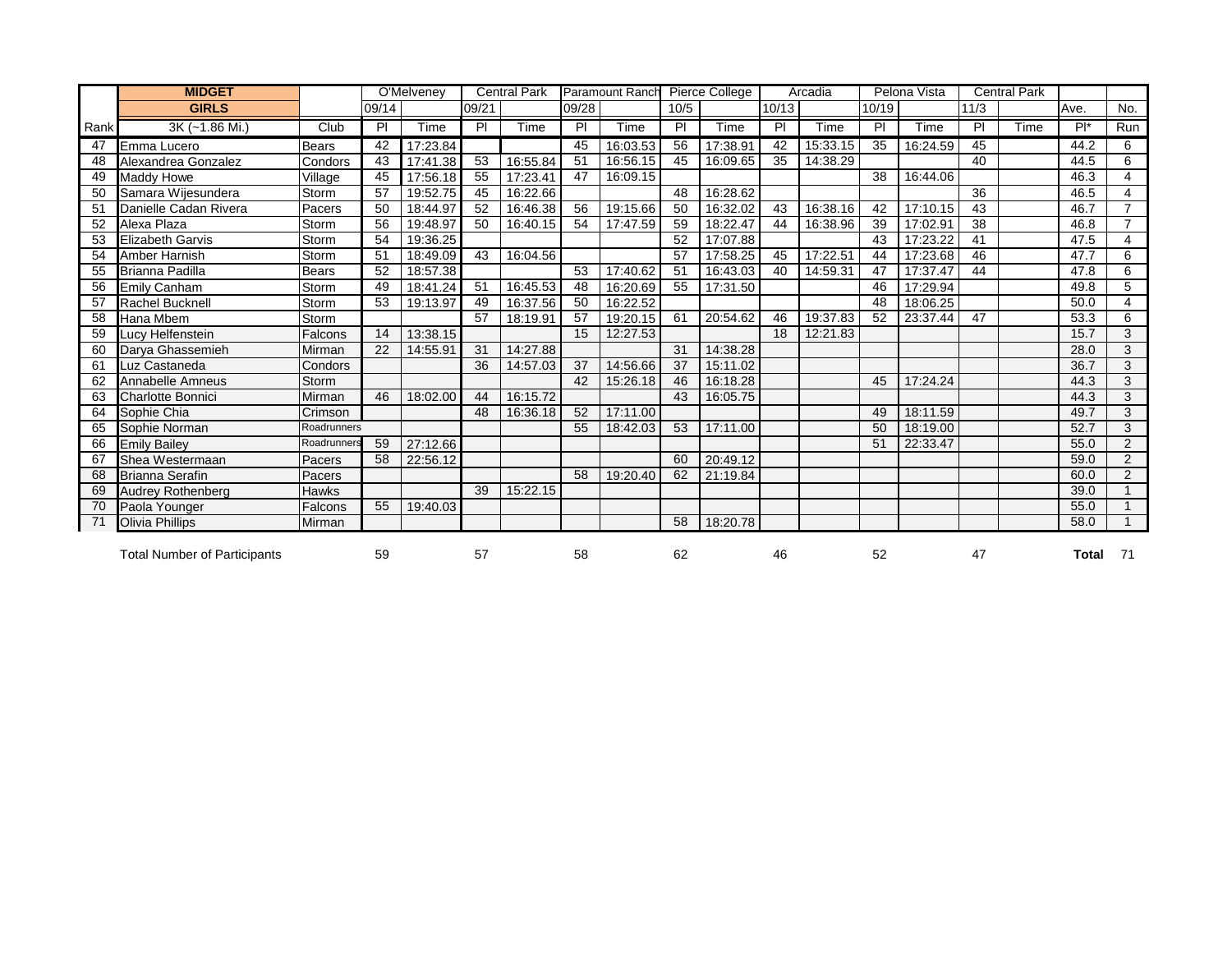|      | <b>MIDGET</b>                       |              |       | O'Melveney |                 | <b>Central Park</b> |       | <b>Paramount Ranch</b> |                 | Pierce College |       | Arcadia  |       | Pelona Vista |                 | <b>Central Park</b> |       |                |
|------|-------------------------------------|--------------|-------|------------|-----------------|---------------------|-------|------------------------|-----------------|----------------|-------|----------|-------|--------------|-----------------|---------------------|-------|----------------|
|      | <b>GIRLS</b>                        |              | 09/14 |            | 09/21           |                     | 09/28 |                        | 10/5            |                | 10/13 |          | 10/19 |              | 11/3            |                     | Ave.  | No.            |
| Rank | 3K (~1.86 Mi.)                      | Club         | PI    | Time       | P               | Time                | PI    | Time                   | PI              | Time           | PI    | Time     | PI    | Time         | PI              | Time                | $P^*$ | Run            |
| 47   | Emma Lucero                         | <b>Bears</b> | 42    | 17:23.84   |                 |                     | 45    | 16:03.53               | 56              | 17:38.91       | 42    | 15:33.15 | 35    | 16:24.59     | 45              |                     | 44.2  | 6              |
| 48   | Alexandrea Gonzalez                 | Condors      | 43    | 17:41.38   | 53              | 16:55.84            | 51    | 16:56.15               | 45              | 16:09.65       | 35    | 14:38.29 |       |              | 40              |                     | 44.5  | 6              |
| 49   | <b>Maddy Howe</b>                   | Village      | 45    | 17:56.18   | 55              | 17:23.41            | 47    | 16:09.15               |                 |                |       |          | 38    | 16:44.06     |                 |                     | 46.3  | $\overline{4}$ |
| 50   | Samara Wijesundera                  | Storm        | 57    | 19:52.75   | 45              | 16:22.66            |       |                        | 48              | 16:28.62       |       |          |       |              | 36              |                     | 46.5  | $\overline{4}$ |
| 51   | Danielle Cadan Rivera               | Pacers       | 50    | 18:44.97   | 52              | 16:46.38            | 56    | 19:15.66               | 50              | 16:32.02       | 43    | 16:38.16 | 42    | 17:10.15     | $\overline{43}$ |                     | 46.7  | $\overline{7}$ |
| 52   | Alexa Plaza                         | Storm        | 56    | 19:48.97   | 50              | 16:40.15            | 54    | 17:47.59               | 59              | 18:22.47       | 44    | 16:38.96 | 39    | 17:02.91     | 38              |                     | 46.8  | $\overline{7}$ |
| 53   | <b>Elizabeth Garvis</b>             | Storm        | 54    | 19:36.25   |                 |                     |       |                        | 52              | 17:07.88       |       |          | 43    | 17:23.22     | 41              |                     | 47.5  | $\overline{4}$ |
| 54   | <b>Amber Harnish</b>                | Storm        | 51    | 18:49.09   | $\overline{43}$ | 16:04.56            |       |                        | $\overline{57}$ | 17:58.25       | 45    | 17:22.51 | 44    | 17:23.68     | $\overline{46}$ |                     | 47.7  | 6              |
| 55   | <b>Brianna Padilla</b>              | Bears        | 52    | 18:57.38   |                 |                     | 53    | 17:40.62               | 51              | 16:43.03       | 40    | 14:59.31 | 47    | 17:37.47     | 44              |                     | 47.8  | 6              |
| 56   | <b>Emily Canham</b>                 | Storm        | 49    | 18:41.24   | 51              | 16:45.53            | 48    | 16:20.69               | 55              | 17:31.50       |       |          | 46    | 17:29.94     |                 |                     | 49.8  | 5              |
| 57   | <b>Rachel Bucknell</b>              | Storm        | 53    | 19:13.97   | 49              | 16:37.56            | 50    | 16:22.52               |                 |                |       |          | 48    | 18:06.25     |                 |                     | 50.0  | 4              |
| 58   | Hana Mbem                           | Storm        |       |            | 57              | 18:19.91            | 57    | 19:20.15               | 61              | 20:54.62       | 46    | 19:37.83 | 52    | 23:37.44     | 47              |                     | 53.3  | 6              |
| 59   | Lucy Helfenstein                    | Falcons      | 14    | 13:38.15   |                 |                     | 15    | 12:27.53               |                 |                | 18    | 12:21.83 |       |              |                 |                     | 15.7  | 3              |
| 60   | Darya Ghassemieh                    | Mirman       | 22    | 14:55.91   | 31              | 14:27.88            |       |                        | 31              | 14:38.28       |       |          |       |              |                 |                     | 28.0  | 3              |
| 61   | Luz Castaneda                       | Condors      |       |            | 36              | 14:57.03            | 37    | 14:56.66               | 37              | 15:11.02       |       |          |       |              |                 |                     | 36.7  | 3              |
| 62   | Annabelle Amneus                    | Storm        |       |            |                 |                     | 42    | 15:26.18               | 46              | 16:18.28       |       |          | 45    | 17:24.24     |                 |                     | 44.3  | 3              |
| 63   | <b>Charlotte Bonnici</b>            | Mirman       | 46    | 18:02.00   | 44              | 16:15.72            |       |                        | 43              | 16:05.75       |       |          |       |              |                 |                     | 44.3  | 3              |
| 64   | Sophie Chia                         | Crimson      |       |            | 48              | 16:36.18            | 52    | 17:11.00               |                 |                |       |          | 49    | 18:11.59     |                 |                     | 49.7  | 3              |
| 65   | Sophie Norman                       | Roadrunners  |       |            |                 |                     | 55    | 18:42.03               | 53              | 17:11.00       |       |          | 50    | 18:19.00     |                 |                     | 52.7  | 3              |
| 66   | <b>Emily Bailey</b>                 | Roadrunners  | 59    | 27:12.66   |                 |                     |       |                        |                 |                |       |          | 51    | 22:33.47     |                 |                     | 55.0  | 2              |
| 67   | Shea Westermaan                     | Pacers       | 58    | 22:56.12   |                 |                     |       |                        | 60              | 20:49.12       |       |          |       |              |                 |                     | 59.0  | 2              |
| 68   | <b>Brianna Serafin</b>              | Pacers       |       |            |                 |                     | 58    | 19:20.40               | 62              | 21:19.84       |       |          |       |              |                 |                     | 60.0  | 2              |
| 69   | <b>Audrey Rothenberg</b>            | Hawks        |       |            | 39              | 15:22.15            |       |                        |                 |                |       |          |       |              |                 |                     | 39.0  |                |
| 70   | Paola Younger                       | Falcons      | 55    | 19:40.03   |                 |                     |       |                        |                 |                |       |          |       |              |                 |                     | 55.0  |                |
| 71   | <b>Olivia Phillips</b>              | Mirman       |       |            |                 |                     |       |                        | 58              | 18:20.78       |       |          |       |              |                 |                     | 58.0  |                |
|      | <b>Total Number of Participants</b> |              | 59    |            | 57              |                     | 58    |                        | 62              |                | 46    |          | 52    |              | 47              |                     | Total | - 71           |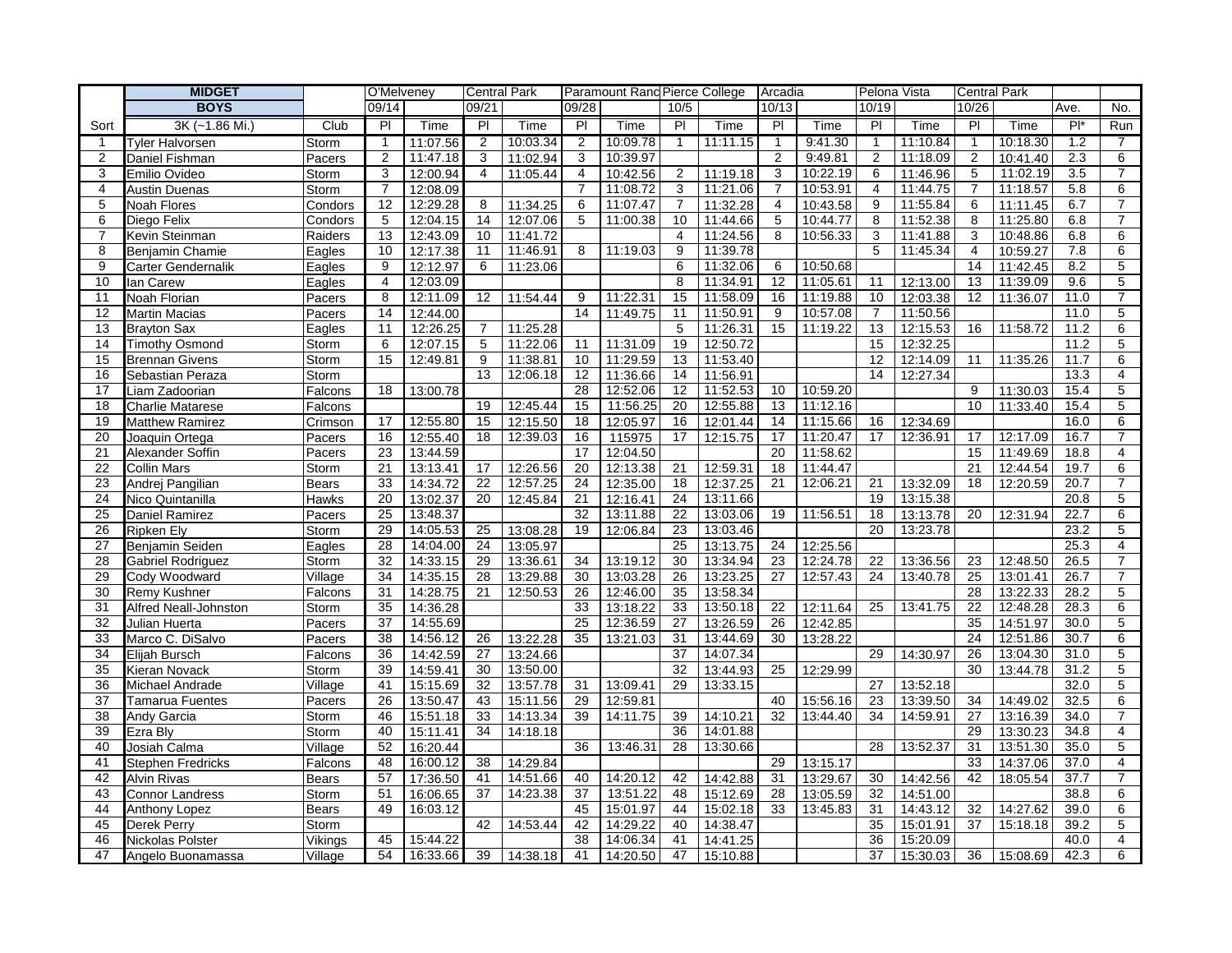|                 | <b>MIDGET</b>            |              | O'Melveney      |          | <b>Central Park</b> |          |                | Paramount Rand Pierce College |                |          | Arcadia          |          | Pelona Vista   |          | <b>Central Park</b> |          |                  |                         |
|-----------------|--------------------------|--------------|-----------------|----------|---------------------|----------|----------------|-------------------------------|----------------|----------|------------------|----------|----------------|----------|---------------------|----------|------------------|-------------------------|
|                 | <b>BOYS</b>              |              | 09/14           |          | 09/21               |          | 09/28          |                               | 10/5           |          | 10/13            |          | 10/19          |          | 10/26               |          | Ave.             | No.                     |
| Sort            | 3K (~1.86 Mi.)           | Club         | $\overline{P}$  | Time     | $\overline{P}$      | Time     | $\overline{P}$ | Time                          | $\overline{P}$ | Time     | $\overline{P}$   | Time     | PI             | Time     | $\overline{P}$      | Time     | $Pl^*$           | Run                     |
| -1              | <b>Tyler Halvorsen</b>   | Storm        | $\mathbf{1}$    | 11:07.56 | $\overline{2}$      | 10:03.34 | $\overline{2}$ | 10:09.78                      | $\mathbf{1}$   | 11:11.15 | $\mathbf{1}$     | 9:41.30  | $\mathbf{1}$   | 11:10.84 | $\mathbf{1}$        | 10:18.30 | $\overline{1.2}$ | 7                       |
| 2               | Daniel Fishman           | Pacers       | $\overline{2}$  | 11:47.18 | 3                   | 11:02.94 | 3              | 10:39.97                      |                |          | 2                | 9:49.81  | 2              | 11:18.09 | $\overline{2}$      | 10:41.40 | 2.3              | 6                       |
| 3               | Emilio Ovideo            | Storm        | 3               | 12:00.94 | $\overline{4}$      | 11:05.44 | 4              | 10:42.56                      | $\overline{2}$ | 11:19.18 | 3                | 10:22.19 | 6              | 11:46.96 | 5                   | 11:02.19 | 3.5              | $\overline{7}$          |
| $\overline{4}$  | Austin Duenas            | Storm        | $\overline{7}$  | 12:08.09 |                     |          | $\overline{7}$ | 11:08.72                      | 3              | 11:21.06 | $\overline{7}$   | 10:53.91 | $\overline{4}$ | 11:44.75 | $\overline{7}$      | 11:18.57 | 5.8              | 6                       |
| 5               | Noah Flores              | Condors      | 12              | 12:29.28 | 8                   | 11:34.25 | 6              | 11:07.47                      | $\overline{7}$ | 11:32.28 | 4                | 10:43.58 | 9              | 11:55.84 | 6                   | 11:11.45 | 6.7              | $\overline{7}$          |
| 6               | Diego Felix              | Condors      | 5               | 12:04.15 | 14                  | 12:07.06 | 5              | 11:00.38                      | 10             | 11:44.66 | 5                | 10:44.77 | 8              | 11:52.38 | 8                   | 11:25.80 | 6.8              | $\overline{7}$          |
| $\overline{7}$  | Kevin Steinman           | Raiders      | 13              | 12:43.09 | 10                  | 11:41.72 |                |                               | $\overline{4}$ | 11:24.56 | 8                | 10:56.33 | 3              | 11:41.88 | 3                   | 10:48.86 | 6.8              | $6\overline{6}$         |
| 8               | Benjamin Chamie          | Eagles       | 10              | 12:17.38 | 11                  | 11:46.91 | 8              | 11:19.03                      | 9              | 11:39.78 |                  |          | 5              | 11:45.34 | $\overline{4}$      | 10:59.27 | 7.8              | 6                       |
| 9               | Carter Gendernalik       | Eagles       | 9               | 12:12.97 | 6                   | 11:23.06 |                |                               | 6              | 11:32.06 | 6                | 10:50.68 |                |          | 14                  | 11:42.45 | 8.2              | $\overline{5}$          |
| 10              | lan Carew                | Eagles       | $\overline{4}$  | 12:03.09 |                     |          |                |                               | 8              | 11:34.91 | 12               | 11:05.61 | 11             | 12:13.00 | 13                  | 11:39.09 | 9.6              | $\overline{5}$          |
| 11              | Noah Florian             | Pacers       | 8               | 12:11.09 | 12                  | 11:54.44 | 9              | 11:22.31                      | 15             | 11:58.09 | 16               | 11:19.88 | 10             | 12:03.38 | 12                  | 11:36.07 | 11.0             | $\overline{7}$          |
| 12              | Martin Macias            | Pacers       | 14              | 12:44.00 |                     |          | 14             | 11:49.75                      | 11             | 11:50.91 | 9                | 10:57.08 | $\overline{7}$ | 11:50.56 |                     |          | 11.0             | $\overline{5}$          |
| 13              | <b>Brayton Sax</b>       | Eagles       | 11              | 12:26.25 | $\overline{7}$      | 11:25.28 |                |                               | 5              | 11:26.31 | 15               | 11:19.22 | 13             | 12:15.53 | 16                  | 11:58.72 | 11.2             | 6                       |
| 14              | Timothy Osmond           | Storm        | 6               | 12:07.15 | 5                   | 11:22.06 | 11             | 11:31.09                      | 19             | 12:50.72 |                  |          | 15             | 12:32.25 |                     |          | 11.2             | 5                       |
| 15              | Brennan Givens           | Storm        | 15              | 12:49.81 | 9                   | 11:38.81 | 10             | 11:29.59                      | 13             | 11:53.40 |                  |          | 12             | 12:14.09 | 11                  | 11:35.26 | 11.7             | 6                       |
| 16              | Sebastian Peraza         | Storm        |                 |          | 13                  | 12:06.18 | 12             | 11:36.66                      | 14             | 11:56.91 |                  |          | 14             | 12:27.34 |                     |          | 13.3             | $\overline{4}$          |
| 17              | Liam Zadoorian           | Falcons      | 18              | 13:00.78 |                     |          | 28             | 12:52.06                      | 12             | 11:52.53 | 10 <sup>10</sup> | 10:59.20 |                |          | 9                   | 11:30.03 | 15.4             | 5                       |
| 18              | <b>Charlie Matarese</b>  | Falcons      |                 |          | 19                  | 12:45.44 | 15             | 11:56.25                      | 20             | 12:55.88 | 13               | 11:12.16 |                |          | 10                  | 11:33.40 | 15.4             | 5                       |
| 19              | <b>Matthew Ramirez</b>   | Crimson      | 17              | 12:55.80 | $\overline{15}$     | 12:15.50 | 18             | 12:05.97                      | 16             | 12:01.44 | 14               | 11:15.66 | 16             | 12:34.69 |                     |          | 16.0             | 6                       |
| 20              | Joaquin Ortega           | Pacers       | 16              | 12:55.40 | 18                  | 12:39.03 | 16             | 115975                        | 17             | 12:15.75 | 17               | 11:20.47 | 17             | 12:36.91 | 17                  | 12:17.09 | 16.7             | $\overline{7}$          |
| 21              | Alexander Soffin         | Pacers       | $\overline{23}$ | 13:44.59 |                     |          | 17             | 12:04.50                      |                |          | 20               | 11:58.62 |                |          | 15                  | 11:49.69 | 18.8             | $\overline{4}$          |
| 22              | <b>Collin Mars</b>       | Storm        | 21              | 13:13.41 | 17                  | 12:26.56 | 20             | 12:13.38                      | 21             | 12:59.31 | 18               | 11:44.47 |                |          | 21                  | 12:44.54 | 19.7             | 6                       |
| $\overline{23}$ | Andrej Pangilian         | Bears        | 33              | 14:34.72 | $\overline{22}$     | 12:57.25 | 24             | 12:35.00                      | 18             | 12:37.25 | 21               | 12:06.21 | 21             | 13:32.09 | 18                  | 12:20.59 | 20.7             | $\overline{7}$          |
| 24              | Nico Quintanilla         | Hawks        | 20              | 13:02.37 | 20                  | 12:45.84 | 21             | 12:16.41                      | 24             | 13:11.66 |                  |          | 19             | 13:15.38 |                     |          | 20.8             | $\overline{5}$          |
| 25              | Daniel Ramirez           | Pacers       | $\overline{25}$ | 13:48.37 |                     |          | 32             | 13:11.88                      | 22             | 13:03.06 | 19               | 11:56.51 | 18             | 13:13.78 | 20                  | 12:31.94 | 22.7             | $\overline{6}$          |
| 26              | <b>Ripken Elv</b>        | Storm        | 29              | 14:05.53 | 25                  | 13:08.28 | 19             | 12:06.84                      | 23             | 13:03.46 |                  |          | 20             | 13:23.78 |                     |          | 23.2             | $\overline{5}$          |
| 27              | Benjamin Seiden          | Eagles       | 28              | 14:04.00 | 24                  | 13:05.97 |                |                               | 25             | 13:13.75 | 24               | 12:25.56 |                |          |                     |          | 25.3             | $\overline{4}$          |
| 28              | <b>Gabriel Rodriguez</b> | Storm        | 32              | 14:33.15 | 29                  | 13:36.61 | 34             | 13:19.12                      | 30             | 13:34.94 | 23               | 12:24.78 | 22             | 13:36.56 | 23                  | 12:48.50 | 26.5             | $\overline{7}$          |
| 29              | Cody Woodward            | Village      | 34              | 14:35.15 | 28                  | 13:29.88 | 30             | 13:03.28                      | 26             | 13:23.25 | 27               | 12:57.43 | 24             | 13:40.78 | 25                  | 13:01.41 | 26.7             | $\overline{7}$          |
| 30              | Remy Kushner             | Falcons      | 31              | 14:28.75 | 21                  | 12:50.53 | 26             | 12:46.00                      | 35             | 13:58.34 |                  |          |                |          | 28                  | 13:22.33 | 28.2             | $\overline{5}$          |
| 31              | Alfred Neall-Johnston    | Storm        | 35              | 14:36.28 |                     |          | 33             | 13:18.22                      | 33             | 13:50.18 | 22               | 12:11.64 | 25             | 13:41.75 | 22                  | 12:48.28 | 28.3             | 6                       |
| 32              | Julian Huerta            | Pacers       | 37              | 14:55.69 |                     |          | 25             | 12:36.59                      | 27             | 13:26.59 | 26               | 12:42.85 |                |          | 35                  | 14:51.97 | 30.0             | 5                       |
| 33              | Marco C. DiSalvo         | Pacers       | 38              | 14:56.12 | 26                  | 13:22.28 | 35             | 13:21.03                      | 31             | 13:44.69 | 30               | 13:28.22 |                |          | 24                  | 12:51.86 | 30.7             | 6                       |
| 34              | Elijah Bursch            | Falcons      | 36              | 14:42.59 | 27                  | 13:24.66 |                |                               | 37             | 14:07.34 |                  |          | 29             | 14:30.97 | 26                  | 13:04.30 | 31.0             | 5                       |
| 35              | Kieran Novack            | Storm        | 39              | 14:59.41 | 30                  | 13:50.00 |                |                               | 32             | 13:44.93 | 25               | 12:29.99 |                |          | 30                  | 13:44.78 | 31.2             | 5                       |
| 36              | Michael Andrade          | Village      | 41              | 15:15.69 | 32                  | 13:57.78 | 31             | 13:09.41                      | 29             | 13:33.15 |                  |          | 27             | 13:52.18 |                     |          | 32.0             | 5                       |
| 37              | Tamarua Fuentes          | Pacers       | 26              | 13:50.47 | 43                  | 15:11.56 | 29             | 12:59.81                      |                |          | 40               | 15:56.16 | 23             | 13:39.50 | 34                  | 14:49.02 | 32.5             | $6\overline{6}$         |
| 38              | Andy Garcia              | Storm        | 46              | 15:51.18 | 33                  | 14:13.34 | 39             | 14:11.75                      | 39             | 14:10.21 | 32               | 13:44.40 | 34             | 14:59.91 | 27                  | 13:16.39 | 34.0             | $\overline{7}$          |
| 39              | Ezra Bly                 | Storm        | 40              | 15:11.41 | 34                  | 14:18.18 |                |                               | 36             | 14:01.88 |                  |          |                |          | 29                  | 13:30.23 | 34.8             | 4                       |
| 40              | Josiah Calma             | Village      | 52              | 16:20.44 |                     |          | 36             | 13:46.31                      | 28             | 13:30.66 |                  |          | 28             | 13:52.37 | 31                  | 13:51.30 | 35.0             | 5                       |
| 41              | <b>Stephen Fredricks</b> | Falcons      | 48              | 16:00.12 | 38                  | 14:29.84 |                |                               |                |          | 29               | 13:15.17 |                |          | 33                  | 14:37.06 | 37.0             | $\overline{\mathbf{4}}$ |
| 42              | Alvin Rivas              | <b>Bears</b> | 57              | 17:36.50 | 41                  | 14:51.66 | 40             | 14:20.12                      | 42             | 14:42.88 | 31               | 13:29.67 | 30             | 14:42.56 | 42                  | 18:05.54 | 37.7             | $\overline{7}$          |
| 43              | Connor Landress          | Storm        | 51              | 16:06.65 | 37                  | 14:23.38 | 37             | 13:51.22                      | 48             | 15:12.69 | 28               | 13:05.59 | 32             | 14:51.00 |                     |          | 38.8             | 6                       |
| 44              | Anthony Lopez            | <b>Bears</b> | 49              | 16:03.12 |                     |          | 45             | 15:01.97                      | 44             | 15:02.18 | 33               | 13:45.83 | 31             | 14:43.12 | 32                  | 14:27.62 | 39.0             | 6                       |
| 45              | Derek Perry              | Storm        |                 |          | 42                  | 14:53.44 | 42             | 14:29.22                      | 40             | 14:38.47 |                  |          | 35             | 15:01.91 | 37                  | 15:18.18 | 39.2             | 5                       |
| 46              | Nickolas Polster         | Vikings      | 45              | 15:44.22 |                     |          | 38             | 14:06.34                      | 41             | 14:41.25 |                  |          | 36             | 15:20.09 |                     |          | 40.0             | 4                       |
| 47              | Angelo Buonamassa        | Village      | 54              | 16:33.66 | 39                  | 14:38.18 | 41             | 14:20.50                      | 47             | 15:10.88 |                  |          | 37             | 15:30.03 | 36                  | 15:08.69 | 42.3             | 6                       |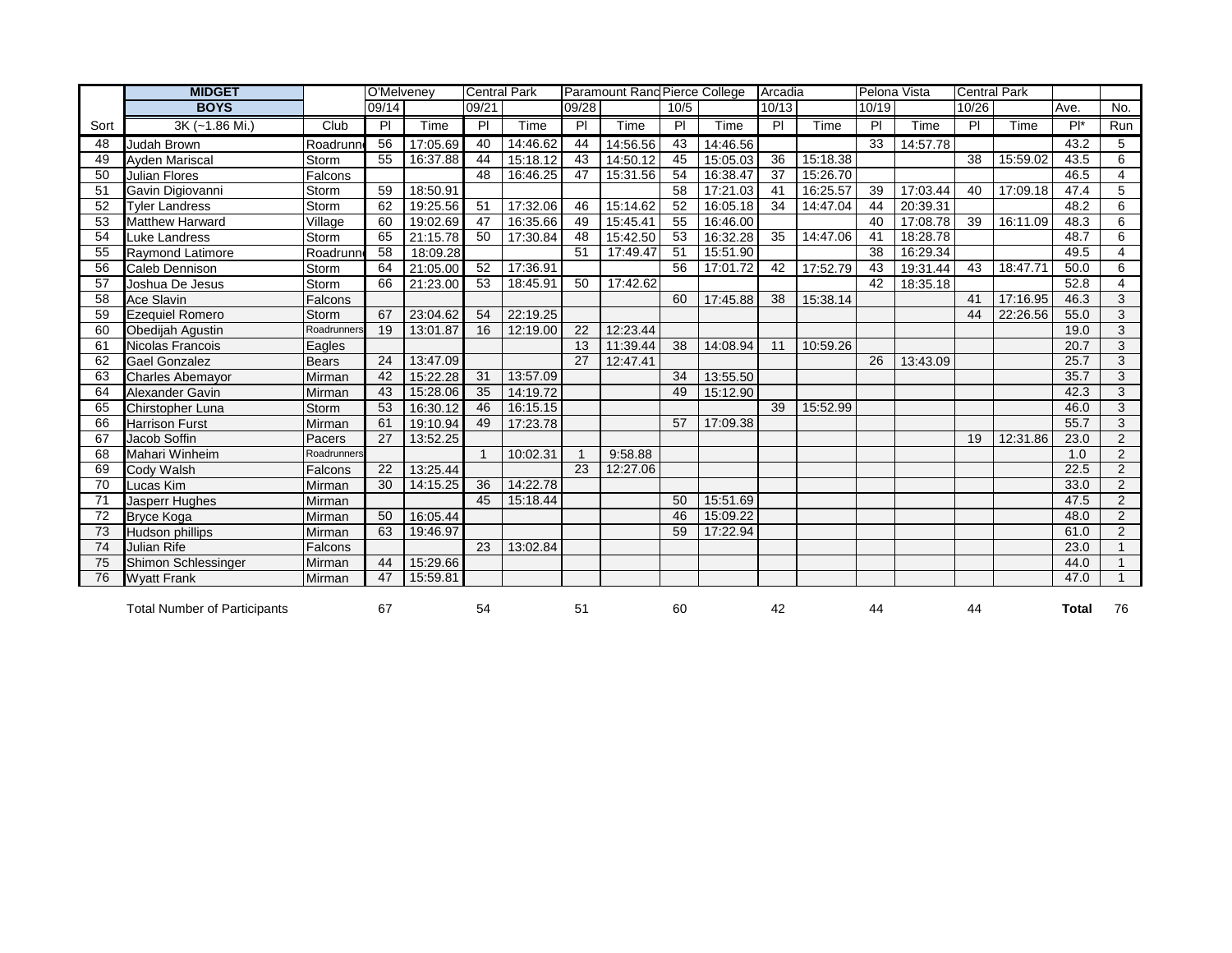|      | <b>MIDGET</b>                       |              | O'Melveney |          | <b>Central Park</b> |          |              | <b>Paramount Rand Pierce College</b> |                 |          | Arcadia |          | Pelona Vista    |          | <b>Central Park</b> |          |              |                |
|------|-------------------------------------|--------------|------------|----------|---------------------|----------|--------------|--------------------------------------|-----------------|----------|---------|----------|-----------------|----------|---------------------|----------|--------------|----------------|
|      | <b>BOYS</b>                         |              | 09/14      |          | 09/21               |          | 09/28        |                                      | 10/5            |          | 10/13   |          | 10/19           |          | 10/26               |          | Ave.         | No.            |
| Sort | 3K (~1.86 Mi.)                      | Club         | PI         | Time     | PI                  | Time     | PI.          | Time                                 | PI              | Time     | PI      | Time     | PI              | Time     | PI                  | Time     | $Pl^*$       | Run            |
| 48   | Judah Brown                         | Roadrunn     | 56         | 17:05.69 | 40                  | 14:46.62 | 44           | 14:56.56                             | 43              | 14:46.56 |         |          | 33              | 14:57.78 |                     |          | 43.2         | 5              |
| 49   | <b>Ayden Mariscal</b>               | Storm        | 55         | 16:37.88 | 44                  | 15:18.12 | 43           | 14:50.12                             | 45              | 15:05.03 | 36      | 15:18.38 |                 |          | 38                  | 15:59.02 | 43.5         | 6              |
| 50   | <b>Julian Flores</b>                | Falcons      |            |          | 48                  | 16:46.25 | 47           | 15:31.56                             | 54              | 16:38.47 | 37      | 15:26.70 |                 |          |                     |          | 46.5         | 4              |
| 51   | Gavin Digiovanni                    | Storm        | 59         | 18:50.91 |                     |          |              |                                      | $\overline{58}$ | 17:21.03 | 41      | 16:25.57 | 39              | 17:03.44 | 40                  | 17:09.18 | 47.4         | 5              |
| 52   | <b>Tyler Landress</b>               | Storm        | 62         | 19:25.56 | 51                  | 17:32.06 | 46           | 15:14.62                             | 52              | 16:05.18 | 34      | 14:47.04 | 44              | 20:39.31 |                     |          | 48.2         | 6              |
| 53   | <b>Matthew Harward</b>              | Village      | 60         | 19:02.69 | 47                  | 16:35.66 | 49           | 15:45.41                             | 55              | 16:46.00 |         |          | 40              | 17:08.78 | 39                  | 16:11.09 | 48.3         | 6              |
| 54   | Luke Landress                       | Storm        | 65         | 21:15.78 | 50                  | 17:30.84 | 48           | 15:42.50                             | 53              | 16:32.28 | 35      | 14:47.06 | 41              | 18:28.78 |                     |          | 48.7         | 6              |
| 55   | <b>Raymond Latimore</b>             | Roadrunn     | 58         | 18:09.28 |                     |          | 51           | 17:49.47                             | 51              | 15:51.90 |         |          | $\overline{38}$ | 16:29.34 |                     |          | 49.5         | $\overline{4}$ |
| 56   | Caleb Dennison                      | Storm        | 64         | 21:05.00 | 52                  | 17:36.91 |              |                                      | 56              | 17:01.72 | 42      | 17:52.79 | 43              | 19:31.44 | 43                  | 18:47.71 | 50.0         | 6              |
| 57   | Joshua De Jesus                     | Storm        | 66         | 21:23.00 | 53                  | 18:45.91 | 50           | 17:42.62                             |                 |          |         |          | 42              | 18:35.18 |                     |          | 52.8         | $\overline{4}$ |
| 58   | <b>Ace Slavin</b>                   | Falcons      |            |          |                     |          |              |                                      | 60              | 17:45.88 | 38      | 15:38.14 |                 |          | 41                  | 17:16.95 | 46.3         | 3              |
| 59   | <b>Ezequiel Romero</b>              | Storm        | 67         | 23:04.62 | 54                  | 22:19.25 |              |                                      |                 |          |         |          |                 |          | 44                  | 22:26.56 | 55.0         | 3              |
| 60   | Obedijah Agustin                    | Roadrunners  | 19         | 13:01.87 | 16                  | 12:19.00 | 22           | 12:23.44                             |                 |          |         |          |                 |          |                     |          | 19.0         | $\overline{3}$ |
| 61   | Nicolas Francois                    | Eagles       |            |          |                     |          | 13           | 11:39.44                             | 38              | 14:08.94 | 11      | 10:59.26 |                 |          |                     |          | 20.7         | 3              |
| 62   | <b>Gael Gonzalez</b>                | <b>Bears</b> | 24         | 13:47.09 |                     |          | 27           | 12:47.41                             |                 |          |         |          | 26              | 13:43.09 |                     |          | 25.7         | 3              |
| 63   | <b>Charles Abemayor</b>             | Mirman       | 42         | 15:22.28 | 31                  | 13:57.09 |              |                                      | 34              | 13:55.50 |         |          |                 |          |                     |          | 35.7         | 3              |
| 64   | Alexander Gavin                     | Mirman       | 43         | 15:28.06 | 35                  | 14:19.72 |              |                                      | 49              | 15:12.90 |         |          |                 |          |                     |          | 42.3         | $\overline{3}$ |
| 65   | Chirstopher Luna                    | Storm        | 53         | 16:30.12 | 46                  | 16:15.15 |              |                                      |                 |          | 39      | 15:52.99 |                 |          |                     |          | 46.0         | $\overline{3}$ |
| 66   | <b>Harrison Furst</b>               | Mirman       | 61         | 19:10.94 | 49                  | 17:23.78 |              |                                      | 57              | 17:09.38 |         |          |                 |          |                     |          | 55.7         | 3              |
| 67   | Jacob Soffin                        | Pacers       | 27         | 13:52.25 |                     |          |              |                                      |                 |          |         |          |                 |          | 19                  | 12:31.86 | 23.0         | $\overline{2}$ |
| 68   | Mahari Winheim                      | Roadrunners  |            |          | $\mathbf{1}$        | 10:02.31 | $\mathbf{1}$ | 9:58.88                              |                 |          |         |          |                 |          |                     |          | 1.0          | $\overline{2}$ |
| 69   | Cody Walsh                          | Falcons      | 22         | 13:25.44 |                     |          | 23           | 12:27.06                             |                 |          |         |          |                 |          |                     |          | 22.5         | $\overline{2}$ |
| 70   | Lucas Kim                           | Mirman       | 30         | 14:15.25 | 36                  | 14:22.78 |              |                                      |                 |          |         |          |                 |          |                     |          | 33.0         | $\overline{2}$ |
| 71   | Jasperr Hughes                      | Mirman       |            |          | 45                  | 15:18.44 |              |                                      | 50              | 15:51.69 |         |          |                 |          |                     |          | 47.5         | $\overline{2}$ |
| 72   | <b>Bryce Koga</b>                   | Mirman       | 50         | 16:05.44 |                     |          |              |                                      | 46              | 15:09.22 |         |          |                 |          |                     |          | 48.0         | $\overline{2}$ |
| 73   | <b>Hudson phillips</b>              | Mirman       | 63         | 19:46.97 |                     |          |              |                                      | 59              | 17:22.94 |         |          |                 |          |                     |          | 61.0         | $\overline{2}$ |
| 74   | <b>Julian Rife</b>                  | Falcons      |            |          | 23                  | 13:02.84 |              |                                      |                 |          |         |          |                 |          |                     |          | 23.0         | $\mathbf{1}$   |
| 75   | Shimon Schlessinger                 | Mirman       | 44         | 15:29.66 |                     |          |              |                                      |                 |          |         |          |                 |          |                     |          | 44.0         | $\mathbf{1}$   |
| 76   | <b>Wyatt Frank</b>                  | Mirman       | 47         | 15:59.81 |                     |          |              |                                      |                 |          |         |          |                 |          |                     |          | 47.0         | $\mathbf{1}$   |
|      | <b>Total Number of Participants</b> |              | 67         |          | 54                  |          | 51           |                                      | 60              |          | 42      |          | 44              |          | 44                  |          | <b>Total</b> | 76             |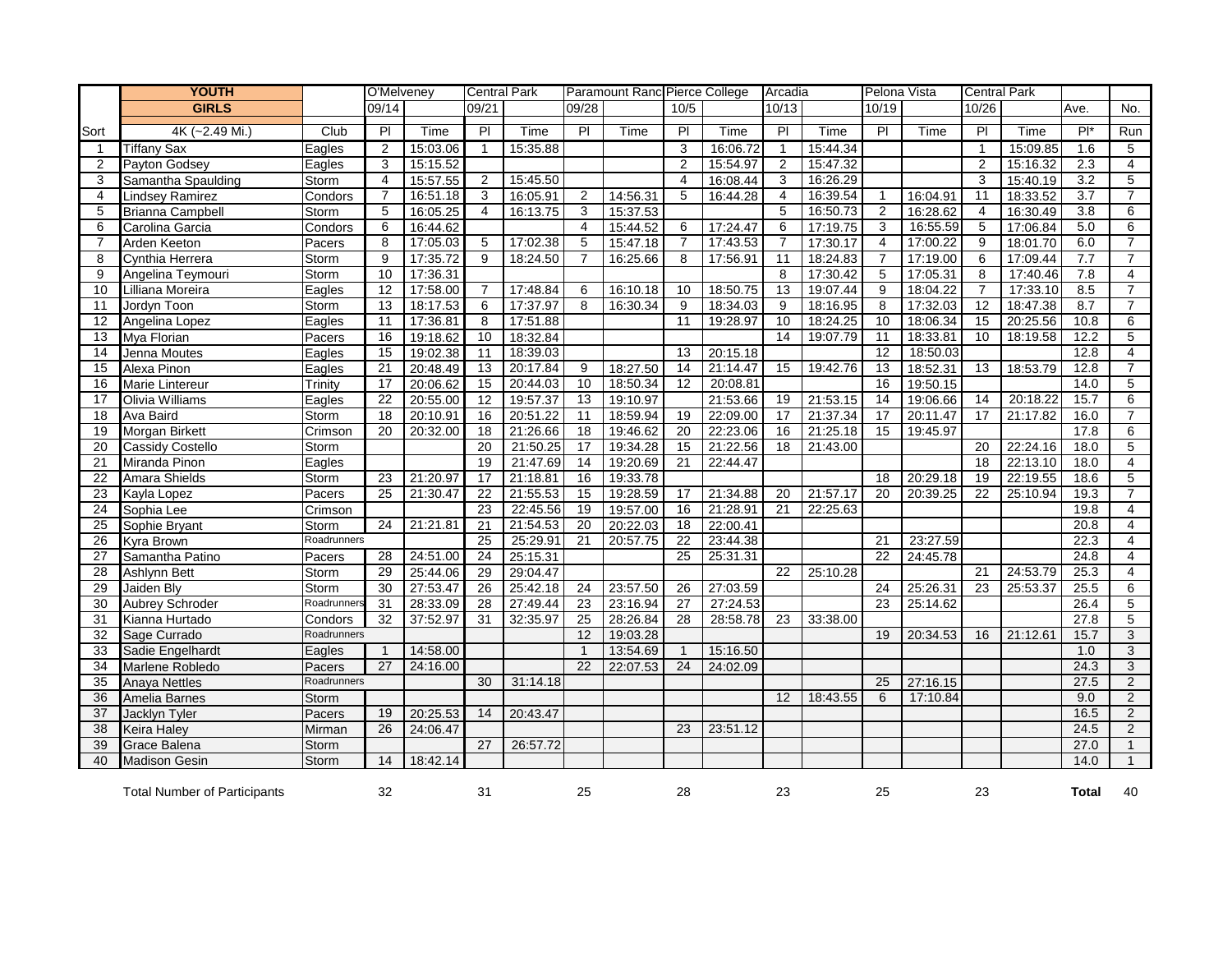|                | <b>YOUTH</b>                        |             | O'Melveney     |          | <b>Central Park</b> |          | Paramount Ranc Pierce College |          |                |          | Arcadia        |          | Pelona Vista    |          | <b>Central Park</b> |          |              |                |
|----------------|-------------------------------------|-------------|----------------|----------|---------------------|----------|-------------------------------|----------|----------------|----------|----------------|----------|-----------------|----------|---------------------|----------|--------------|----------------|
|                | <b>GIRLS</b>                        |             | 09/14          |          | 09/21               |          | 09/28                         |          | 10/5           |          | 10/13          |          | 10/19           |          | 10/26               |          | Ave.         | No.            |
| Sort           | 4K (~2.49 Mi.)                      | Club        | $\overline{P}$ | Time     | $\overline{P}$      | Time     | $\overline{P}$                | Time     | $\overline{P}$ | Time     | $\overline{P}$ | Time     | $\overline{P}$  | Time     | PI                  | Time     | $P^*$        | Run            |
| $\mathbf{1}$   | <b>Tiffany Sax</b>                  | Eagles      | 2              | 15:03.06 | $\mathbf{1}$        | 15:35.88 |                               |          | 3              | 16:06.72 | $\mathbf{1}$   | 15:44.34 |                 |          | $\mathbf{1}$        | 15:09.85 | 1.6          | 5              |
| $\overline{2}$ | Payton Godsey                       | Eagles      | 3              | 15:15.52 |                     |          |                               |          | $\overline{2}$ | 15:54.97 | $\overline{2}$ | 15:47.32 |                 |          | $\overline{2}$      | 15:16.32 | 2.3          | $\overline{4}$ |
| 3              | Samantha Spaulding                  | Storm       | $\overline{4}$ | 15:57.55 | 2                   | 15:45.50 |                               |          | $\overline{4}$ | 16:08.44 | 3              | 16:26.29 |                 |          | 3                   | 15:40.19 | 3.2          | 5              |
| 4              | <b>Lindsey Ramirez</b>              | Condors     | 7              | 16:51.18 | 3                   | 16:05.91 | 2                             | 14:56.31 | 5              | 16:44.28 | $\overline{4}$ | 16:39.54 | $\mathbf{1}$    | 16:04.91 | 11                  | 18:33.52 | 3.7          | $\overline{7}$ |
| 5              | <b>Brianna Campbell</b>             | Storm       | 5              | 16:05.25 | $\overline{4}$      | 16:13.75 | 3                             | 15:37.53 |                |          | 5              | 16:50.73 | $\overline{2}$  | 16:28.62 | 4                   | 16:30.49 | 3.8          | 6              |
| 6              | Carolina Garcia                     | Condors     | 6              | 16:44.62 |                     |          | $\overline{4}$                | 15:44.52 | 6              | 17:24.47 | 6              | 17:19.75 | 3               | 16:55.59 | 5                   | 17:06.84 | 5.0          | 6              |
| $\overline{7}$ | Arden Keeton                        | Pacers      | 8              | 17:05.03 | 5                   | 17:02.38 | 5                             | 15:47.18 | $\overline{7}$ | 17:43.53 | $\overline{7}$ | 17:30.17 | $\overline{4}$  | 17:00.22 | 9                   | 18:01.70 | 6.0          | $\overline{7}$ |
| 8              | Cynthia Herrera                     | Storm       | 9              | 17:35.72 | 9                   | 18:24.50 | 7                             | 16:25.66 | 8              | 17:56.91 | 11             | 18:24.83 | $\overline{7}$  | 17:19.00 | 6                   | 17:09.44 | 7.7          | $\overline{7}$ |
| 9              | Angelina Teymouri                   | Storm       | 10             | 17:36.31 |                     |          |                               |          |                |          | 8              | 17:30.42 | 5               | 17:05.31 | 8                   | 17:40.46 | 7.8          | $\overline{4}$ |
| 10             | Lilliana Moreira                    | Eagles      | 12             | 17:58.00 | $\overline{7}$      | 17:48.84 | 6                             | 16:10.18 | 10             | 18:50.75 | 13             | 19:07.44 | 9               | 18:04.22 | $\overline{7}$      | 17:33.10 | 8.5          | $\overline{7}$ |
| 11             | Jordyn Toon                         | Storm       | 13             | 18:17.53 | 6                   | 17:37.97 | 8                             | 16:30.34 | 9              | 18:34.03 | 9              | 18:16.95 | 8               | 17:32.03 | 12                  | 18:47.38 | 8.7          | $\overline{7}$ |
| 12             | Angelina Lopez                      | Eagles      | 11             | 17:36.81 | 8                   | 17:51.88 |                               |          | 11             | 19:28.97 | 10             | 18:24.25 | 10              | 18:06.34 | 15                  | 20:25.56 | 10.8         | 6              |
| 13             | Mya Florian                         | Pacers      | 16             | 19:18.62 | $\overline{10}$     | 18:32.84 |                               |          |                |          | 14             | 19:07.79 | 11              | 18:33.81 | 10                  | 18:19.58 | 12.2         | 5              |
| 14             | Jenna Moutes                        | Eagles      | 15             | 19:02.38 | 11                  | 18:39.03 |                               |          | 13             | 20:15.18 |                |          | 12              | 18:50.03 |                     |          | 12.8         | 4              |
| 15             | Alexa Pinon                         | Eagles      | 21             | 20:48.49 | 13                  | 20:17.84 | 9                             | 18:27.50 | 14             | 21:14.47 | 15             | 19:42.76 | $\overline{13}$ | 18:52.31 | 13                  | 18:53.79 | 12.8         | $\overline{7}$ |
| 16             | Marie Lintereur                     | Trinity     | 17             | 20:06.62 | 15                  | 20:44.03 | 10                            | 18:50.34 | 12             | 20:08.81 |                |          | 16              | 19:50.15 |                     |          | 14.0         | 5              |
| 17             | Olivia Williams                     | Eagles      | 22             | 20:55.00 | 12                  | 19:57.37 | 13                            | 19:10.97 |                | 21:53.66 | 19             | 21:53.15 | 14              | 19:06.66 | 14                  | 20:18.22 | 15.7         | 6              |
| 18             | Ava Baird                           | Storm       | 18             | 20:10.91 | 16                  | 20:51.22 | 11                            | 18:59.94 | 19             | 22:09.00 | 17             | 21:37.34 | 17              | 20:11.47 | 17                  | 21:17.82 | 16.0         | $\overline{7}$ |
| 19             | <b>Morgan Birkett</b>               | Crimson     | 20             | 20:32.00 | $\overline{18}$     | 21:26.66 | 18                            | 19:46.62 | 20             | 22:23.06 | 16             | 21:25.18 | 15              | 19:45.97 |                     |          | 17.8         | 6              |
| 20             | <b>Cassidy Costello</b>             | Storm       |                |          | 20                  | 21:50.25 | 17                            | 19:34.28 | 15             | 21:22.56 | 18             | 21:43.00 |                 |          | 20                  | 22:24.16 | 18.0         | 5              |
| 21             | Miranda Pinon                       | Eagles      |                |          | 19                  | 21:47.69 | 14                            | 19:20.69 | 21             | 22:44.47 |                |          |                 |          | 18                  | 22:13.10 | 18.0         | $\overline{4}$ |
| 22             | Amara Shields                       | Storm       | 23             | 21:20.97 | $\overline{17}$     | 21:18.81 | 16                            | 19:33.78 |                |          |                |          | 18              | 20:29.18 | 19                  | 22:19.55 | 18.6         | 5              |
| 23             | Kayla Lopez                         | Pacers      | 25             | 21:30.47 | 22                  | 21:55.53 | 15                            | 19:28.59 | 17             | 21:34.88 | 20             | 21:57.17 | 20              | 20:39.25 | 22                  | 25:10.94 | 19.3         | 7              |
| 24             | Sophia Lee                          | Crimson     |                |          | 23                  | 22:45.56 | 19                            | 19:57.00 | 16             | 21:28.91 | 21             | 22:25.63 |                 |          |                     |          | 19.8         | $\overline{4}$ |
| 25             | Sophie Bryant                       | Storm       | 24             | 21:21.81 | 21                  | 21:54.53 | 20                            | 20:22.03 | 18             | 22:00.41 |                |          |                 |          |                     |          | 20.8         | $\overline{4}$ |
| 26             | Kyra Brown                          | Roadrunners |                |          | 25                  | 25:29.91 | 21                            | 20:57.75 | 22             | 23:44.38 |                |          | 21              | 23:27.59 |                     |          | 22.3         | $\overline{4}$ |
| 27             | Samantha Patino                     | Pacers      | 28             | 24:51.00 | $\overline{24}$     | 25:15.31 |                               |          | 25             | 25:31.31 |                |          | $\overline{22}$ | 24:45.78 |                     |          | 24.8         | $\overline{4}$ |
| 28             | Ashlynn Bett                        | Storm       | 29             | 25:44.06 | 29                  | 29:04.47 |                               |          |                |          | 22             | 25:10.28 |                 |          | 21                  | 24:53.79 | 25.3         | 4              |
| 29             | Jaiden Bly                          | Storm       | 30             | 27:53.47 | $\overline{26}$     | 25:42.18 | 24                            | 23:57.50 | 26             | 27:03.59 |                |          | 24              | 25:26.31 | 23                  | 25:53.37 | 25.5         | 6              |
| 30             | Aubrey Schroder                     | Roadrunners | 31             | 28:33.09 | 28                  | 27:49.44 | 23                            | 23:16.94 | 27             | 27:24.53 |                |          | $\overline{23}$ | 25:14.62 |                     |          | 26.4         | 5              |
| 31             | Kianna Hurtado                      | Condors     | 32             | 37:52.97 | 31                  | 32:35.97 | 25                            | 28:26.84 | 28             | 28:58.78 | 23             | 33:38.00 |                 |          |                     |          | 27.8         | 5              |
| 32             | Sage Currado                        | Roadrunners |                |          |                     |          | 12                            | 19:03.28 |                |          |                |          | 19              | 20:34.53 | 16                  | 21:12.61 | 15.7         | 3              |
| 33             | Sadie Engelhardt                    | Eagles      | -1             | 14:58.00 |                     |          | $\overline{1}$                | 13:54.69 | $\mathbf{1}$   | 15:16.50 |                |          |                 |          |                     |          | 1.0          | 3              |
| 34             | Marlene Robledo                     | Pacers      | 27             | 24:16.00 |                     |          | 22                            | 22:07.53 | 24             | 24:02.09 |                |          |                 |          |                     |          | 24.3         | 3              |
| 35             | <b>Anaya Nettles</b>                | Roadrunners |                |          | 30                  | 31:14.18 |                               |          |                |          |                |          | 25              | 27:16.15 |                     |          | 27.5         | 2              |
| 36             | Amelia Barnes                       | Storm       |                |          |                     |          |                               |          |                |          | 12             | 18:43.55 | 6               | 17:10.84 |                     |          | 9.0          | $\overline{2}$ |
| 37             | Jacklyn Tyler                       | Pacers      | 19             | 20:25.53 | 14                  | 20:43.47 |                               |          |                |          |                |          |                 |          |                     |          | 16.5         | 2              |
| 38             | <b>Keira Haley</b>                  | Mirman      | 26             | 24:06.47 |                     |          |                               |          | 23             | 23:51.12 |                |          |                 |          |                     |          | 24.5         | 2              |
| 39             | Grace Balena                        | Storm       |                |          | $\overline{27}$     | 26:57.72 |                               |          |                |          |                |          |                 |          |                     |          | 27.0         | $\mathbf{1}$   |
| 40             | Madison Gesin                       | Storm       | 14             | 18:42.14 |                     |          |                               |          |                |          |                |          |                 |          |                     |          | 14.0         |                |
|                | <b>Total Number of Participants</b> |             | 32             |          | 31                  |          | 25                            |          | 28             |          | 23             |          | 25              |          | 23                  |          | <b>Total</b> | 40             |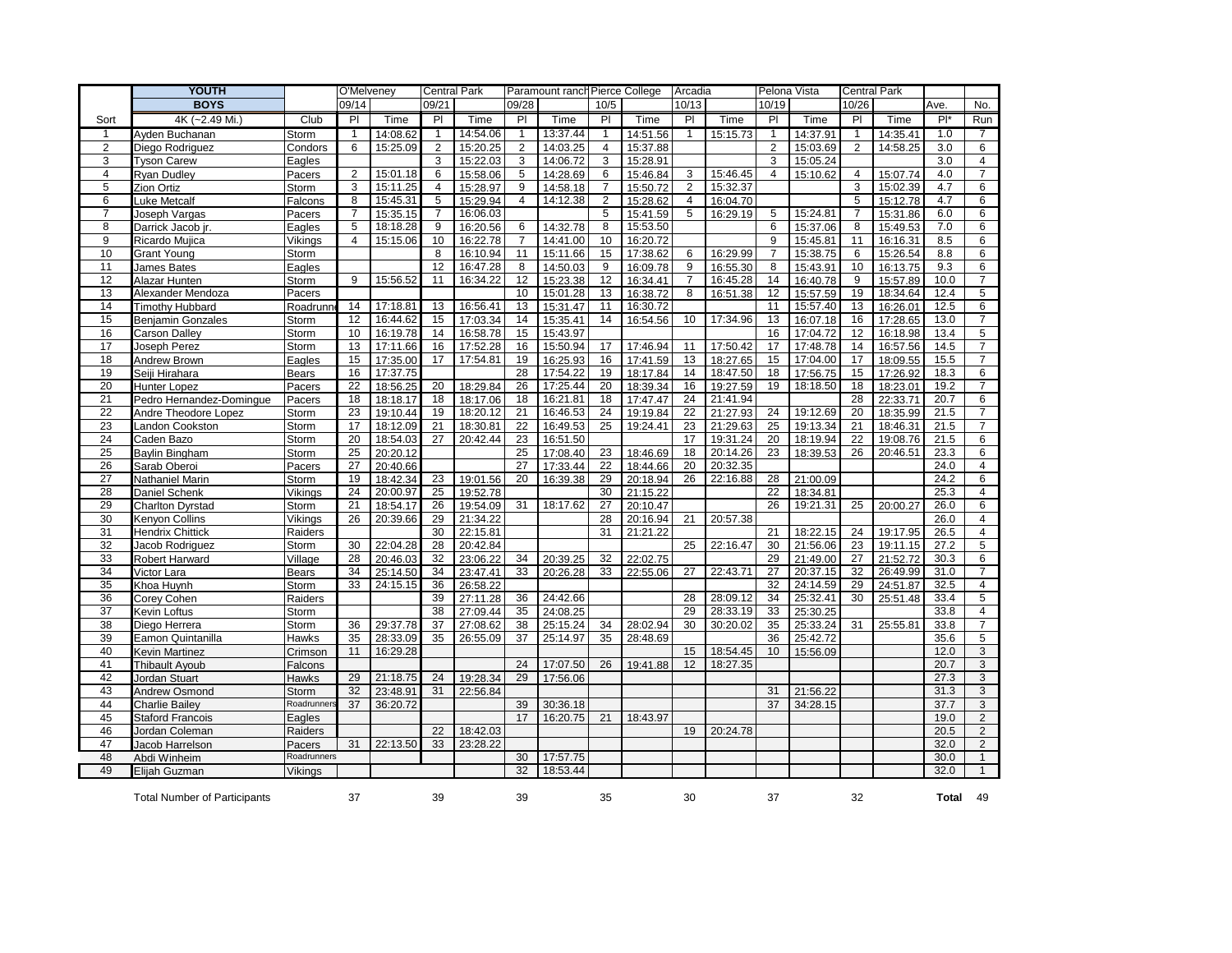|                 | YOUTH                               | O'Melveney   |                | <b>Central Park</b> |                | Paramount ranch Pierce College |                 |          |                 | Arcadia  |                | Pelona Vista |                 | <b>Central Park</b> |                |          |       |                           |
|-----------------|-------------------------------------|--------------|----------------|---------------------|----------------|--------------------------------|-----------------|----------|-----------------|----------|----------------|--------------|-----------------|---------------------|----------------|----------|-------|---------------------------|
|                 | <b>BOYS</b>                         |              | 09/14          |                     | 09/21          |                                | 09/28           |          | 10/5            |          | 10/13          |              | 10/19           |                     | 10/26          |          | Ave.  | No.                       |
| Sort            | 4K (~2.49 Mi.)                      | Club         | $\overline{P}$ | Time                | $\overline{P}$ | Time                           | $\overline{PI}$ | Time     | $\overline{PI}$ | Time     | $\overline{P}$ | Time         | $\overline{PI}$ | Time                | $\overline{P}$ | Time     | $P^*$ | Run                       |
| -1              | Ayden Buchanan                      | Storm        | $\mathbf{1}$   | 14:08.62            | $\mathbf{1}$   | 14:54.06                       | $\mathbf{1}$    | 13:37.44 | $\mathbf{1}$    | 14:51.56 | $\overline{1}$ | 15:15.73     | $\overline{1}$  | 14:37.91            | $\mathbf{1}$   | 14:35.41 | 1.0   | 7                         |
| $\overline{2}$  | Diego Rodriguez                     | Condors      | 6              | 15:25.09            | $\overline{2}$ | 15:20.25                       | $\overline{2}$  | 14:03.25 | 4               | 15:37.88 |                |              | $\overline{2}$  | 15:03.69            | $\overline{2}$ | 14:58.25 | 3.0   | 6                         |
| 3               | <b>Tyson Carew</b>                  | Eagles       |                |                     | 3              | 15:22.03                       | 3               | 14:06.72 | 3               | 15:28.91 |                |              | 3               | 15:05.24            |                |          | 3.0   | 4                         |
| $\overline{4}$  | Ryan Dudley                         | Pacers       | $\overline{2}$ | 15:01.18            | 6              | 15:58.06                       | 5               | 14:28.69 | 6               | 15:46.84 | 3              | 15:46.45     | $\overline{4}$  | 15:10.62            | $\overline{4}$ | 15:07.74 | 4.0   | $\overline{7}$            |
| 5               | Zion Ortiz                          | Storm        | 3              | 15:11.25            | 4              | 15:28.97                       | 9               | 14:58.18 | $\overline{7}$  | 15:50.72 | $\overline{2}$ | 15:32.37     |                 |                     | 3              | 15:02.39 | 4.7   | 6                         |
| 6               | Luke Metcalf                        | Falcons      | 8              | 15:45.31            | 5              | 15:29.94                       | $\overline{4}$  | 14:12.38 | 2               | 15:28.62 | 4              | 16:04.70     |                 |                     | 5              | 15:12.78 | 4.7   | 6                         |
| 7               | Joseph Vargas                       | Pacers       | 7              | 15:35.15            | 7              | 16:06.03                       |                 |          | 5               | 15:41.59 | 5              | 16:29.19     | 5               | 15:24.81            | 7              | 15:31.86 | 6.0   | 6                         |
| 8               | Darrick Jacob ir.                   | Eagles       | 5              | 18:18.28            | 9              | 16:20.56                       | 6               | 14:32.78 | 8               | 15:53.50 |                |              | 6               | 15:37.06            | 8              | 15:49.53 | 7.0   | 6                         |
| 9               | Ricardo Mujica                      | Vikings      | $\overline{4}$ | 15:15.06            | 10             | 16:22.78                       | 7               | 14:41.00 | 10              | 16:20.72 |                |              | 9               | 15:45.81            | 11             | 16:16.31 | 8.5   | 6                         |
| 10              | Grant Young                         | Storm        |                |                     | 8              | 16:10.94                       | 11              | 15:11.66 | 15              | 17:38.62 | 6              | 16:29.99     | $\overline{7}$  | 15:38.75            | 6              | 15:26.54 | 8.8   | $6\overline{6}$           |
| 11              | James Bates                         | Eagles       |                |                     | 12             | 16:47.28                       | 8               | 14:50.03 | 9               | 16:09.78 | 9              | 16:55.30     | 8               | 15:43.91            | 10             | 16:13.75 | 9.3   | 6                         |
| 12              | Alazar Hunten                       | Storm        | $\overline{9}$ | 15:56.52            | 11             | 16:34.22                       | $\overline{12}$ | 15:23.38 | 12              | 16:34.41 | 7              | 16:45.28     | 14              | 16:40.78            | 9              | 15:57.89 | 10.0  | $\overline{7}$            |
| 13              | Alexander Mendoza                   | Pacers       |                |                     |                |                                | 10              | 15:01.28 | 13              | 16:38.72 | 8              | 16:51.38     | 12              | 15:57.59            | 19             | 18:34.64 | 12.4  | 5                         |
| 14              | <b>Timothy Hubbard</b>              | Roadrunn     | 14             | 17:18.81            | 13             | 16:56.41                       | 13              | 15:31.47 | 11              | 16:30.72 |                |              | 11              | 15:57.40            | 13             | 16:26.01 | 12.5  | 6                         |
| 15              | <b>Benjamin Gonzales</b>            | Storm        | 12             | 16:44.62            | 15             | 17:03.34                       | 14              | 15:35.41 | 14              | 16:54.56 | 10             | 17:34.96     | 13              | 16:07.18            | 16             | 17:28.65 | 13.0  | $\overline{7}$            |
| 16              | Carson Dalley                       | Storm        | 10             | 16:19.78            | 14             | 16:58.78                       | 15              | 15:43.97 |                 |          |                |              | 16              | 17:04.72            | 12             | 16:18.98 | 13.4  | $\overline{5}$            |
| 17              | Joseph Perez                        | <b>Storm</b> | 13             | 17:11.66            | 16             | 17:52.28                       | 16              | 15:50.94 | 17              | 17:46.94 | 11             | 17:50.42     | 17              | 17:48.78            | 14             | 16:57.56 | 14.5  | $\overline{7}$            |
| 18              | Andrew Brown                        | Eagles       | 15             | 17:35.00            | 17             | 17:54.81                       | 19              | 16:25.93 | 16              | 17:41.59 | 13             | 18:27.65     | 15              | 17:04.00            | 17             | 18:09.55 | 15.5  | $\overline{7}$            |
| 19              | Seiji Hirahara                      | <b>Bears</b> | 16             | 17:37.75            |                |                                | 28              | 17:54.22 | 19              | 18:17.84 | 14             | 18:47.50     | 18              | 17:56.75            | 15             | 17:26.92 | 18.3  | 6                         |
| 20              | Hunter Lopez                        | Pacers       | 22             | 18:56.25            | 20             | 18:29.84                       | 26              | 17:25.44 | 20              | 18:39.34 | 16             | 19:27.59     | 19              | 18:18.50            | 18             | 18:23.01 | 19.2  | $\overline{7}$            |
| 21              | Pedro Hernandez-Domingue            | Pacers       | 18             | 18:18.17            | 18             | 18:17.06                       | 18              | 16:21.81 | 18              | 17:47.47 | 24             | 21:41.94     |                 |                     | 28             | 22:33.71 | 20.7  | 6                         |
| 22              | Andre Theodore Lopez                | Storm        | 23             | 19:10.44            | 19             | 18:20.12                       | 21              | 16:46.53 | 24              | 19:19.84 | 22             | 21:27.93     | 24              | 19:12.69            | 20             | 18:35.99 | 21.5  | $\overline{7}$            |
| 23              | Landon Cookston                     | Storm        | 17             | 18:12.09            | 21             | 18:30.81                       | 22              | 16:49.53 | 25              | 19:24.41 | 23             | 21:29.63     | 25              | 19:13.34            | 21             | 18:46.31 | 21.5  | $\overline{7}$            |
| 24              | Caden Bazo                          | Storm        | 20             | 18:54.03            | 27             | 20:42.44                       | 23              | 16:51.50 |                 |          | 17             | 19:31.24     | 20              | 18:19.94            | 22             | 19:08.76 | 21.5  | 6                         |
| $\overline{25}$ | Baylin Bingham                      | <b>Storm</b> | 25             | 20:20.12            |                |                                | 25              | 17:08.40 | 23              | 18:46.69 | 18             | 20:14.26     | 23              | 18:39.53            | 26             | 20:46.51 | 23.3  | 6                         |
| 26              | Sarab Oberoi                        | Pacers       | 27             | 20:40.66            |                |                                | 27              | 17:33.44 | 22              | 18:44.66 | 20             | 20:32.35     |                 |                     |                |          | 24.0  | $\overline{4}$            |
| 27              | Nathaniel Marin                     | Storm        | 19             | 18:42.34            | 23             | 19:01.56                       | 20              | 16:39.38 | 29              | 20:18.94 | 26             | 22:16.88     | 28              | 21:00.09            |                |          | 24.2  | 6                         |
| 28              | Daniel Schenk                       | Vikings      | 24             | 20:00.97            | 25             | 19:52.78                       |                 |          | 30              | 21:15.22 |                |              | 22              | 18:34.81            |                |          | 25.3  | $\overline{4}$            |
| 29              | <b>Charlton Dyrstad</b>             | <b>Storm</b> | 21             | 18:54.17            | 26             | 19:54.09                       | 31              | 18:17.62 | 27              | 20:10.47 |                |              | 26              | 19:21.31            | 25             | 20:00.27 | 26.0  | 6                         |
| 30              | Kenyon Collins                      | Vikings      | 26             | 20:39.66            | 29             | 21:34.22                       |                 |          | 28              | 20:16.94 | 21             | 20:57.38     |                 |                     |                |          | 26.0  | $\overline{4}$            |
| 31              | Hendrix Chittick                    | Raiders      |                |                     | 30             | 22:15.81                       |                 |          | 31              | 21:21.22 |                |              | 21              | 18:22.15            | 24             | 19:17.95 | 26.5  | $\overline{4}$            |
| 32              | Jacob Rodriguez                     | Storm        | 30             | 22:04.28            | 28             | 20:42.84                       |                 |          |                 |          | 25             | 22:16.47     | 30              | 21:56.06            | 23             | 19:11.15 | 27.2  | $\overline{5}$            |
| 33              | Robert Harward                      | Village      | 28             | 20:46.03            | 32             | 23:06.22                       | 34              | 20:39.25 | 32              | 22:02.75 |                |              | 29              | 21:49.00            | 27             | 21:52.72 | 30.3  | 6                         |
| 34              | Victor Lara                         | <b>Bears</b> | 34             | 25:14.50            | 34             | 23:47.41                       | 33              | 20:26.28 | 33              | 22:55.06 | 27             | 22:43.71     | $\overline{27}$ | 20:37.15            | 32             | 26:49.99 | 31.0  | $\overline{7}$            |
| 35              | Khoa Huynh                          | Storm        | 33             | 24:15.15            | 36             | 26:58.22                       |                 |          |                 |          |                |              | 32              | 24:14.59            | 29             | 24:51.87 | 32.5  | 4                         |
| 36              | Corey Cohen                         | Raiders      |                |                     | 39             | 27:11.28                       | 36              | 24:42.66 |                 |          | 28             | 28:09.12     | 34              | 25:32.41            | 30             | 25:51.48 | 33.4  | 5                         |
| 37              | Kevin Loftus                        | Storm        |                |                     | 38             | 27:09.44                       | 35              | 24:08.25 |                 |          | 29             | 28:33.19     | 33              | 25:30.25            |                |          | 33.8  | $\overline{4}$            |
| 38              | Diego Herrera                       | Storm        | 36             | 29:37.78            | 37             | 27:08.62                       | 38              | 25:15.24 | 34              | 28:02.94 | 30             | 30:20.02     | 35              | 25:33.24            | 31             | 25:55.81 | 33.8  | $\overline{7}$            |
| 39              | Eamon Quintanilla                   | Hawks        | 35             | 28:33.09            | 35             | 26:55.09                       | 37              | 25:14.97 | 35              | 28:48.69 |                |              | 36              | 25:42.72            |                |          | 35.6  | 5                         |
| 40              | Kevin Martinez                      | Crimson      | 11             | 16:29.28            |                |                                |                 |          |                 |          | 15             | 18:54.45     | 10 <sup>°</sup> | 15:56.09            |                |          | 12.0  | 3                         |
| 41              | <b>Thibault Ayoub</b>               | Falcons      |                |                     |                |                                | 24              | 17:07.50 | 26              | 19:41.88 | 12             | 18:27.35     |                 |                     |                |          | 20.7  | 3                         |
| 42              | Jordan Stuart                       | Hawks        | 29             | 21:18.75            | 24             | 19:28.34                       | 29              | 17:56.06 |                 |          |                |              |                 |                     |                |          | 27.3  | 3                         |
| 43              | <b>Andrew Osmond</b>                | Storm        | 32             | 23:48.91            | 31             | 22:56.84                       |                 |          |                 |          |                |              | 31              | 21:56.22            |                |          | 31.3  | $\ensuremath{\mathsf{3}}$ |
| 44              | Charlie Bailey                      | Roadrunners  | 37             | 36:20.72            |                |                                | 39              | 30:36.18 |                 |          |                |              | 37              | 34:28.15            |                |          | 37.7  | 3                         |
| 45              | <b>Staford Francois</b>             | Eagles       |                |                     |                |                                | 17              | 16:20.75 | 21              | 18:43.97 |                |              |                 |                     |                |          | 19.0  | $\overline{2}$            |
| 46              | Jordan Coleman                      | Raiders      |                |                     | 22             | 18:42.03                       |                 |          |                 |          | 19             | 20:24.78     |                 |                     |                |          | 20.5  | $\overline{2}$            |
| 47              | Jacob Harrelson                     | Pacers       | 31             | 22:13.50            | 33             | 23:28.22                       |                 |          |                 |          |                |              |                 |                     |                |          | 32.0  | $\overline{2}$            |
| 48              | Abdi Winheim                        | Roadrunners  |                |                     |                |                                | 30              | 17:57.75 |                 |          |                |              |                 |                     |                |          | 30.0  | $\mathbf{1}$              |
| 49              | Elijah Guzman                       | Vikings      |                |                     |                |                                | 32              | 18:53.44 |                 |          |                |              |                 |                     |                |          | 32.0  | $\mathbf{1}$              |
|                 | <b>Total Number of Participants</b> |              | 37             |                     | 39             |                                | 39              |          | 35              |          | 30             |              | 37              |                     | 32             |          | Total | 49                        |